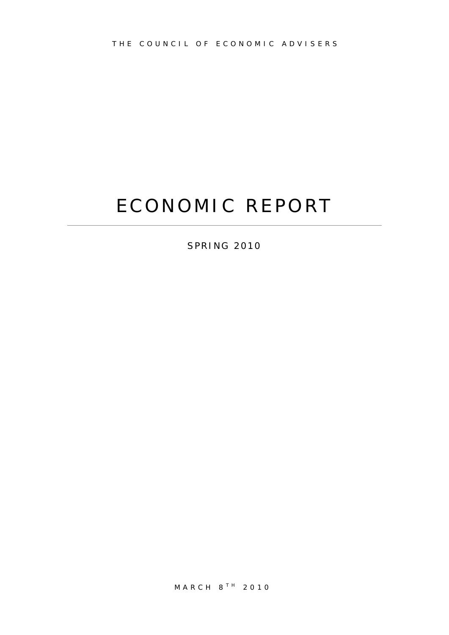# ECONOMIC REPORT

SPRING 2010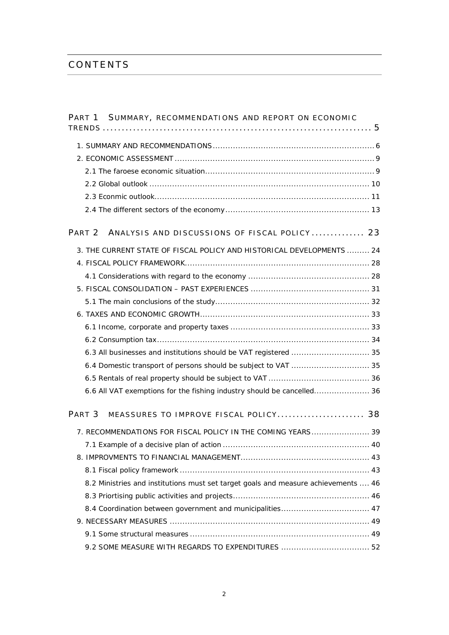## CONTENTS

| PART 1 SUMMARY, RECOMMENDATIONS AND REPORT ON ECONOMIC                             |
|------------------------------------------------------------------------------------|
|                                                                                    |
|                                                                                    |
|                                                                                    |
|                                                                                    |
|                                                                                    |
|                                                                                    |
| PART <sub>2</sub><br>ANALYSIS AND DISCUSSIONS OF FISCAL POLICY 23                  |
| 3. THE CURRENT STATE OF FISCAL POLICY AND HISTORICAL DEVELOPMENTS  24              |
|                                                                                    |
|                                                                                    |
|                                                                                    |
|                                                                                    |
|                                                                                    |
|                                                                                    |
|                                                                                    |
|                                                                                    |
|                                                                                    |
|                                                                                    |
| 6.6 All VAT exemptions for the fishing industry should be cancelled 36             |
| PART <sub>3</sub><br>MEASSURES TO IMPROVE FISCAL POLICY 38                         |
| 7. RECOMMENDATIONS FOR FISCAL POLICY IN THE COMING YEARS 39                        |
|                                                                                    |
|                                                                                    |
|                                                                                    |
| 8.2 Ministries and institutions must set target goals and measure achievements  46 |
|                                                                                    |
| 8.4 Coordination between government and municipalities 47                          |
|                                                                                    |
|                                                                                    |
| 9.2 SOME MEASURE WITH REGARDS TO EXPENDITURES  52                                  |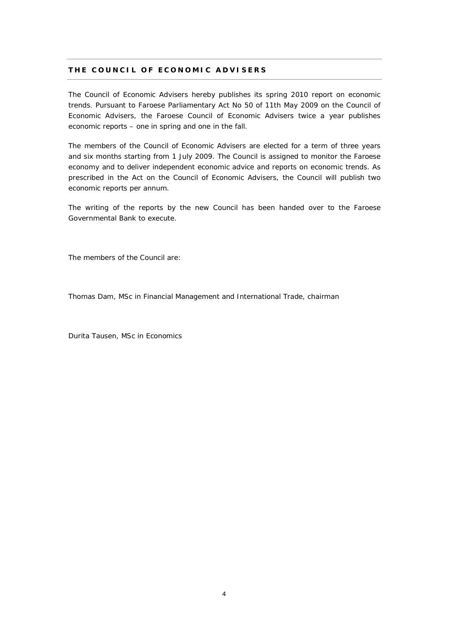#### **THE COUNCIL OF ECONOMIC ADVISERS**

The Council of Economic Advisers hereby publishes its spring 2010 report on economic trends. Pursuant to Faroese Parliamentary Act No 50 of 11th May 2009 on the Council of Economic Advisers, the Faroese Council of Economic Advisers twice a year publishes economic reports – one in spring and one in the fall.

The members of the Council of Economic Advisers are elected for a term of three years and six months starting from 1 July 2009. The Council is assigned to monitor the Faroese economy and to deliver independent economic advice and reports on economic trends. As prescribed in the Act on the Council of Economic Advisers, the Council will publish two economic reports per annum.

The writing of the reports by the new Council has been handed over to the Faroese Governmental Bank to execute.

The members of the Council are:

Thomas Dam, MSc in Financial Management and International Trade, chairman

Durita Tausen, MSc in Economics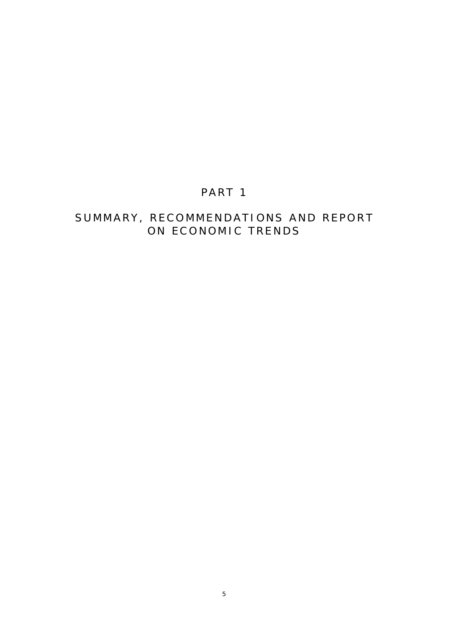# PART 1

# SUMMARY, RECOMMENDATIONS AND REPORT ON ECONOMIC TRENDS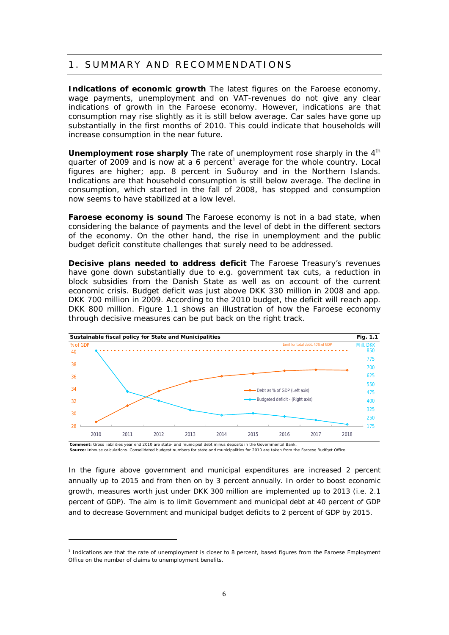### 1. SUMMARY AND RECOMMENDATIONS

**Indications of economic growth** The latest figures on the Faroese economy, wage payments, unemployment and on VAT-revenues do not give any clear indications of growth in the Faroese economy. However, indications are that consumption may rise slightly as it is still below average. Car sales have gone up substantially in the first months of 2010. This could indicate that households will increase consumption in the near future.

Unemployment rose sharply The rate of unemployment rose sharply in the 4<sup>th</sup> quarter of 2009 and is now at a 6 percent<sup>1</sup> average for the whole country. Local figures are higher; app. 8 percent in Suðuroy and in the Northern Islands. Indications are that household consumption is still below average. The decline in consumption, which started in the fall of 2008, has stopped and consumption now seems to have stabilized at a low level.

**Faroese economy is sound** The Faroese economy is not in a bad state, when considering the balance of payments and the level of debt in the different sectors of the economy. On the other hand, the rise in unemployment and the public budget deficit constitute challenges that surely need to be addressed.

**Decisive plans needed to address deficit** The Faroese Treasury's revenues have gone down substantially due to e.g. government tax cuts, a reduction in block subsidies from the Danish State as well as on account of the current economic crisis. Budget deficit was just above DKK 330 million in 2008 and app. DKK 700 million in 2009. According to the 2010 budget, the deficit will reach app. DKK 800 million. Figure 1.1 shows an illustration of how the Faroese economy through decisive measures can be put back on the right track.



**Source:** Inhouse calculations. Consolidated budgest numbers for state and municipalities for 2010 are taken from the Faroese Budfget Office.

In the figure above government and municipal expenditures are increased 2 percent annually up to 2015 and from then on by 3 percent annually. In order to boost economic growth, measures worth just under DKK 300 million are implemented up to 2013 (i.e. 2.1 percent of GDP). The aim is to limit Government and municipal debt at 40 percent of GDP and to decrease Government and municipal budget deficits to 2 percent of GDP by 2015.

<sup>&</sup>lt;sup>1</sup> Indications are that the rate of unemployment is closer to 8 percent, based figures from the Faroese Employment Office on the number of claims to unemployment benefits.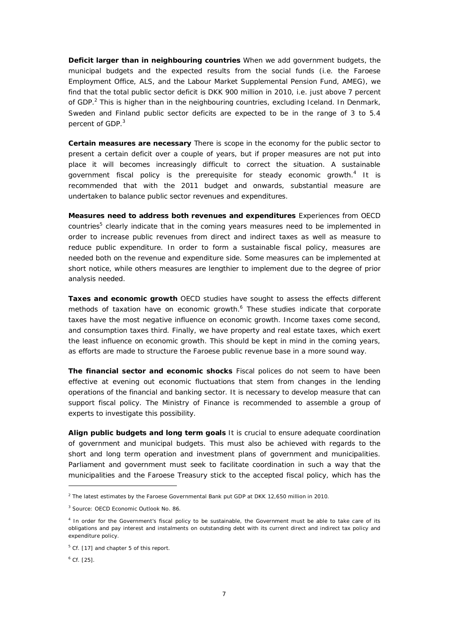**Deficit larger than in neighbouring countries** When we add government budgets, the municipal budgets and the expected results from the social funds (i.e. the Faroese Employment Office, ALS, and the Labour Market Supplemental Pension Fund, AMEG), we find that the total public sector deficit is DKK 900 million in 2010, i.e. just above 7 percent of GDP.<sup>2</sup> This is higher than in the neighbouring countries, excluding Iceland. In Denmark, Sweden and Finland public sector deficits are expected to be in the range of 3 to 5.4 percent of GDP.<sup>3</sup>

**Certain measures are necessary** There is scope in the economy for the public sector to present a certain deficit over a couple of years, but if proper measures are not put into place it will becomes increasingly difficult to correct the situation. A sustainable government fiscal policy is the prerequisite for steady economic growth.<sup>4</sup> It is recommended that with the 2011 budget and onwards, substantial measure are undertaken to balance public sector revenues and expenditures.

**Measures need to address both revenues and expenditures** Experiences from OECD countries<sup>5</sup> clearly indicate that in the coming years measures need to be implemented in order to increase public revenues from direct and indirect taxes as well as measure to reduce public expenditure. In order to form a sustainable fiscal policy, measures are needed both on the revenue and expenditure side. Some measures can be implemented at short notice, while others measures are lengthier to implement due to the degree of prior analysis needed.

**Taxes and economic growth** OECD studies have sought to assess the effects different methods of taxation have on economic growth.<sup>6</sup> These studies indicate that corporate taxes have the most negative influence on economic growth. Income taxes come second, and consumption taxes third. Finally, we have property and real estate taxes, which exert the least influence on economic growth. This should be kept in mind in the coming years, as efforts are made to structure the Faroese public revenue base in a more sound way.

**The financial sector and economic shocks** Fiscal polices do not seem to have been effective at evening out economic fluctuations that stem from changes in the lending operations of the financial and banking sector. It is necessary to develop measure that can support fiscal policy. The Ministry of Finance is recommended to assemble a group of experts to investigate this possibility.

**Align public budgets and long term goals** It is crucial to ensure adequate coordination of government and municipal budgets. This must also be achieved with regards to the short and long term operation and investment plans of government and municipalities. Parliament and government must seek to facilitate coordination in such a way that the municipalities and the Faroese Treasury stick to the accepted fiscal policy, which has the

<sup>&</sup>lt;sup>2</sup> The latest estimates by the Faroese Governmental Bank put GDP at DKK 12,650 million in 2010.

<sup>3</sup> Source: OECD Economic Outlook No. 86.

<sup>&</sup>lt;sup>4</sup> In order for the Government's fiscal policy to be sustainable, the Government must be able to take care of its obligations and pay interest and instalments on outstanding debt with its current direct and indirect tax policy and expenditure policy.

<sup>&</sup>lt;sup>5</sup> Cf. [17] and chapter 5 of this report.

 $6$  Cf. [25].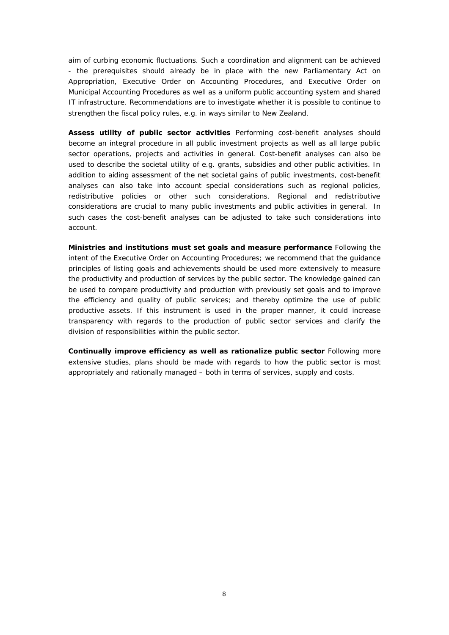aim of curbing economic fluctuations. Such a coordination and alignment can be achieved - the prerequisites should already be in place with the new Parliamentary Act on Appropriation, Executive Order on Accounting Procedures, and Executive Order on Municipal Accounting Procedures as well as a uniform public accounting system and shared IT infrastructure. Recommendations are to investigate whether it is possible to continue to strengthen the fiscal policy rules, e.g. in ways similar to New Zealand.

**Assess utility of public sector activities** Performing cost-benefit analyses should become an integral procedure in all public investment projects as well as all large public sector operations, projects and activities in general. Cost-benefit analyses can also be used to describe the societal utility of e.g. grants, subsidies and other public activities. In addition to aiding assessment of the net societal gains of public investments, cost-benefit analyses can also take into account special considerations such as regional policies, redistributive policies or other such considerations. Regional and redistributive considerations are crucial to many public investments and public activities in general. In such cases the cost-benefit analyses can be adjusted to take such considerations into account.

**Ministries and institutions must set goals and measure performance** Following the intent of the Executive Order on Accounting Procedures; we recommend that the guidance principles of listing goals and achievements should be used more extensively to measure the productivity and production of services by the public sector. The knowledge gained can be used to compare productivity and production with previously set goals and to improve the efficiency and quality of public services; and thereby optimize the use of public productive assets. If this instrument is used in the proper manner, it could increase transparency with regards to the production of public sector services and clarify the division of responsibilities within the public sector.

**Continually improve efficiency as well as rationalize public sector** Following more extensive studies, plans should be made with regards to how the public sector is most appropriately and rationally managed – both in terms of services, supply and costs.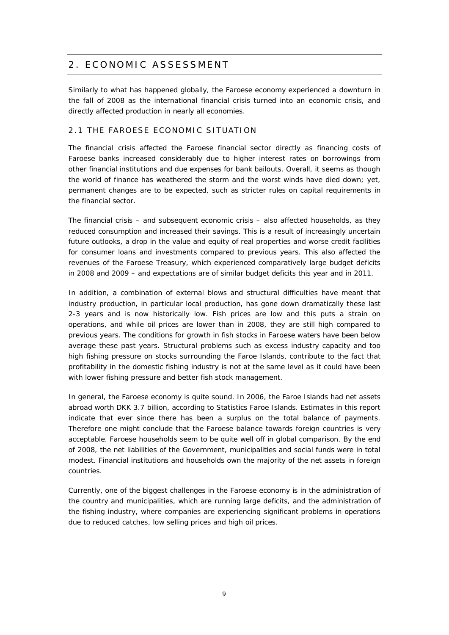# 2. ECONOMIC ASSESSMENT

Similarly to what has happened globally, the Faroese economy experienced a downturn in the fall of 2008 as the international financial crisis turned into an economic crisis, and directly affected production in nearly all economies.

#### 2.1 THE FAROESE ECONOMIC SITUATION

The financial crisis affected the Faroese financial sector directly as financing costs of Faroese banks increased considerably due to higher interest rates on borrowings from other financial institutions and due expenses for bank bailouts. Overall, it seems as though the world of finance has weathered the storm and the worst winds have died down; yet, permanent changes are to be expected, such as stricter rules on capital requirements in the financial sector.

The financial crisis – and subsequent economic crisis – also affected households, as they reduced consumption and increased their savings. This is a result of increasingly uncertain future outlooks, a drop in the value and equity of real properties and worse credit facilities for consumer loans and investments compared to previous years. This also affected the revenues of the Faroese Treasury, which experienced comparatively large budget deficits in 2008 and 2009 – and expectations are of similar budget deficits this year and in 2011.

In addition, a combination of external blows and structural difficulties have meant that industry production, in particular local production, has gone down dramatically these last 2-3 years and is now historically low. Fish prices are low and this puts a strain on operations, and while oil prices are lower than in 2008, they are still high compared to previous years. The conditions for growth in fish stocks in Faroese waters have been below average these past years. Structural problems such as excess industry capacity and too high fishing pressure on stocks surrounding the Faroe Islands, contribute to the fact that profitability in the domestic fishing industry is not at the same level as it could have been with lower fishing pressure and better fish stock management.

In general, the Faroese economy is quite sound. In 2006, the Faroe Islands had net assets abroad worth DKK 3.7 billion, according to Statistics Faroe Islands. Estimates in this report indicate that ever since there has been a surplus on the total balance of payments. Therefore one might conclude that the Faroese balance towards foreign countries is very acceptable. Faroese households seem to be quite well off in global comparison. By the end of 2008, the net liabilities of the Government, municipalities and social funds were in total modest. Financial institutions and households own the majority of the net assets in foreign countries.

Currently, one of the biggest challenges in the Faroese economy is in the administration of the country and municipalities, which are running large deficits, and the administration of the fishing industry, where companies are experiencing significant problems in operations due to reduced catches, low selling prices and high oil prices.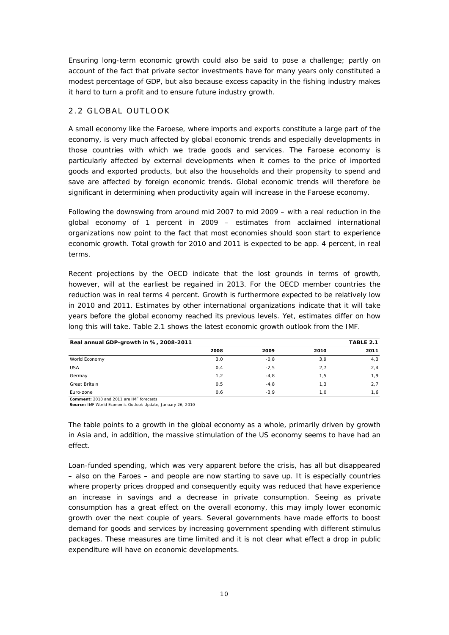Ensuring long-term economic growth could also be said to pose a challenge; partly on account of the fact that private sector investments have for many years only constituted a modest percentage of GDP, but also because excess capacity in the fishing industry makes it hard to turn a profit and to ensure future industry growth.

#### 2.2 GLOBAL OUTLOOK

A small economy like the Faroese, where imports and exports constitute a large part of the economy, is very much affected by global economic trends and especially developments in those countries with which we trade goods and services. The Faroese economy is particularly affected by external developments when it comes to the price of imported goods and exported products, but also the households and their propensity to spend and save are affected by foreign economic trends. Global economic trends will therefore be significant in determining when productivity again will increase in the Faroese economy.

Following the downswing from around mid 2007 to mid 2009 – with a real reduction in the global economy of 1 percent in 2009 – estimates from acclaimed international organizations now point to the fact that most economies should soon start to experience economic growth. Total growth for 2010 and 2011 is expected to be app. 4 percent, in real terms.

Recent projections by the OECD indicate that the lost grounds in terms of growth, however, will at the earliest be regained in 2013. For the OECD member countries the reduction was in real terms 4 percent. Growth is furthermore expected to be relatively low in 2010 and 2011. Estimates by other international organizations indicate that it will take years before the global economy reached its previous levels. Yet, estimates differ on how long this will take. Table 2.1 shows the latest economic growth outlook from the IMF.

| TABLE 2.1<br>Real annual GDP-growth in %, 2008-2011 |      |        |      |      |  |  |  |
|-----------------------------------------------------|------|--------|------|------|--|--|--|
|                                                     | 2008 | 2009   | 2010 | 2011 |  |  |  |
| World Economy                                       | 3,0  | $-0,8$ | 3,9  | 4,3  |  |  |  |
| <b>USA</b>                                          | 0,4  | $-2,5$ | 2,7  | 2,4  |  |  |  |
| Germay                                              | 1,2  | $-4,8$ | 1,5  | 1,9  |  |  |  |
| Great Britain                                       | 0,5  | $-4.8$ | 1.3  | 2,7  |  |  |  |
| Euro-zone                                           | 0,6  | $-3.9$ | 1.0  | 1,6  |  |  |  |

**Comment:** 2010 and 2011 are IMF forecasts

**Source:** IMF World Economic Outlook Update, January 26, 2010

The table points to a growth in the global economy as a whole, primarily driven by growth in Asia and, in addition, the massive stimulation of the US economy seems to have had an effect.

Loan-funded spending, which was very apparent before the crisis, has all but disappeared – also on the Faroes – and people are now starting to save up. It is especially countries where property prices dropped and consequently equity was reduced that have experience an increase in savings and a decrease in private consumption. Seeing as private consumption has a great effect on the overall economy, this may imply lower economic growth over the next couple of years. Several governments have made efforts to boost demand for goods and services by increasing government spending with different stimulus packages. These measures are time limited and it is not clear what effect a drop in public expenditure will have on economic developments.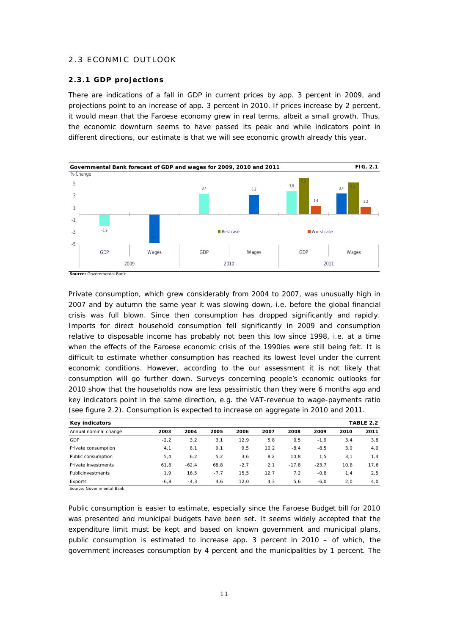#### 2.3 ECONMIC OUTLOOK

#### **2.3.1 GDP projections**

There are indications of a fall in GDP in current prices by app. 3 percent in 2009, and projections point to an increase of app. 3 percent in 2010. If prices increase by 2 percent, it would mean that the Faroese economy grew in real terms, albeit a small growth. Thus, the economic downturn seems to have passed its peak and while indicators point in different directions, our estimate is that we will see economic growth already this year.



Private consumption, which grew considerably from 2004 to 2007, was unusually high in 2007 and by autumn the same year it was slowing down, i.e. before the global financial crisis was full blown. Since then consumption has dropped significantly and rapidly. Imports for direct household consumption fell significantly in 2009 and consumption relative to disposable income has probably not been this low since 1998, i.e. at a time when the effects of the Faroese economic crisis of the 1990ies were still being felt. It is difficult to estimate whether consumption has reached its lowest level under the current economic conditions. However, according to the our assessment it is not likely that consumption will go further down. Surveys concerning people's economic outlooks for 2010 show that the households now are less pessimistic than they were 6 months ago and key indicators point in the same direction, e.g. the VAT-revenue to wage-payments ratio (see figure 2.2). Consumption is expected to increase on aggregate in 2010 and 2011.

| Key indicators        |         |         |        |        |      |         |         |      | TABLE 2.2 |
|-----------------------|---------|---------|--------|--------|------|---------|---------|------|-----------|
| Annual nominal change | 2003    | 2004    | 2005   | 2006   | 2007 | 2008    | 2009    | 2010 | 2011      |
| GDP                   | $-2,2$  | 3,2     | 3,1    | 12.9   | 5,8  | 0,5     | $-1.9$  | 3,4  | 3,8       |
| Private consumption   | 4,1     | 8,1     | 9,1    | 9,5    | 10.2 | $-8.4$  | $-8,5$  | 3,9  | 4,0       |
| Public consumption    | 5,4     | 6,2     | 5, 2   | 3,6    | 8,2  | 10,8    | 1,5     | 3,1  | 1,4       |
| Private investments   | 61,8    | $-62,4$ | 68,8   | $-2,7$ | 2,1  | $-17.8$ | $-23.7$ | 10.8 | 17.6      |
| Publicinvestments     | 1,9     | 16,5    | $-7,7$ | 15.5   | 12.7 | 7.2     | $-0.8$  | 1,4  | 2,5       |
| Exports               | $-6, 8$ | $-4,3$  | 4,6    | 12.0   | 4, 3 | 5,6     | $-6.0$  | 2,0  | 4,0       |

Source: Governmental Bank

Public consumption is easier to estimate, especially since the Faroese Budget bill for 2010 was presented and municipal budgets have been set. It seems widely accepted that the expenditure limit must be kept and based on known government and municipal plans, public consumption is estimated to increase app. 3 percent in 2010 – of which, the government increases consumption by 4 percent and the municipalities by 1 percent. The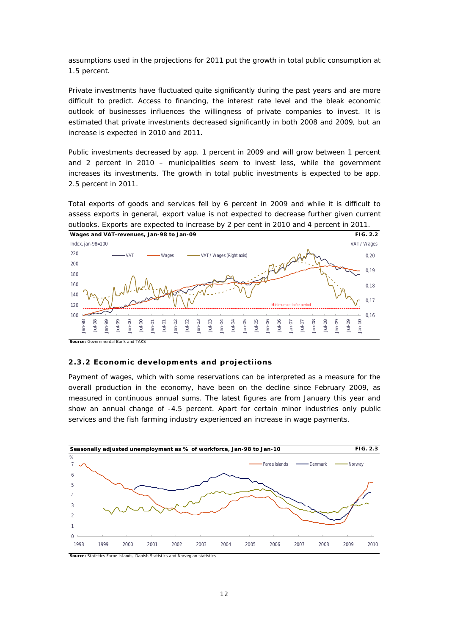assumptions used in the projections for 2011 put the growth in total public consumption at 1.5 percent.

Private investments have fluctuated quite significantly during the past years and are more difficult to predict. Access to financing, the interest rate level and the bleak economic outlook of businesses influences the willingness of private companies to invest. It is estimated that private investments decreased significantly in both 2008 and 2009, but an increase is expected in 2010 and 2011.

Public investments decreased by app. 1 percent in 2009 and will grow between 1 percent and 2 percent in 2010 – municipalities seem to invest less, while the government increases its investments. The growth in total public investments is expected to be app. 2.5 percent in 2011.

Total exports of goods and services fell by 6 percent in 2009 and while it is difficult to assess exports in general, export value is not expected to decrease further given current outlooks. Exports are expected to increase by 2 per cent in 2010 and 4 percent in 2011.



**Source:** Governmental Bank and TAKS

#### **2.3.2 Economic developments and projectiions**

Payment of wages, which with some reservations can be interpreted as a measure for the overall production in the economy, have been on the decline since February 2009, as measured in continuous annual sums. The latest figures are from January this year and show an annual change of -4.5 percent. Apart for certain minor industries only public services and the fish farming industry experienced an increase in wage payments.



**Source:** Statistics Faroe Islands, Danish Statistics and Norvegian statistics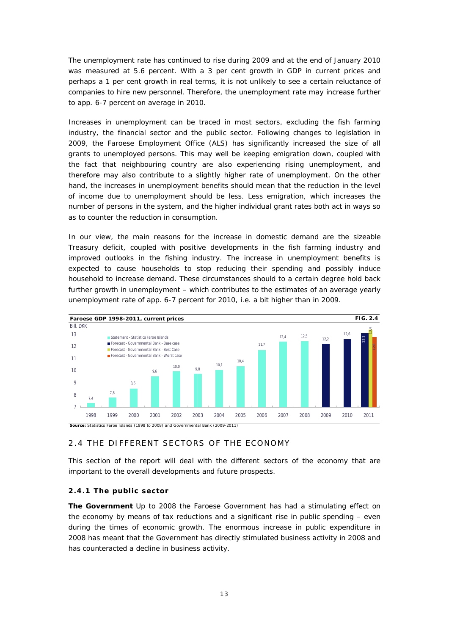The unemployment rate has continued to rise during 2009 and at the end of January 2010 was measured at 5.6 percent. With a 3 per cent growth in GDP in current prices and perhaps a 1 per cent growth in real terms, it is not unlikely to see a certain reluctance of companies to hire new personnel. Therefore, the unemployment rate may increase further to app. 6-7 percent on average in 2010.

Increases in unemployment can be traced in most sectors, excluding the fish farming industry, the financial sector and the public sector. Following changes to legislation in 2009, the Faroese Employment Office (ALS) has significantly increased the size of all grants to unemployed persons. This may well be keeping emigration down, coupled with the fact that neighbouring country are also experiencing rising unemployment, and therefore may also contribute to a slightly higher rate of unemployment. On the other hand, the increases in unemployment benefits should mean that the reduction in the level of income due to unemployment should be less. Less emigration, which increases the number of persons in the system, and the higher individual grant rates both act in ways so as to counter the reduction in consumption.

In our view, the main reasons for the increase in domestic demand are the sizeable Treasury deficit, coupled with positive developments in the fish farming industry and improved outlooks in the fishing industry. The increase in unemployment benefits is expected to cause households to stop reducing their spending and possibly induce household to increase demand. These circumstances should to a certain degree hold back further growth in unemployment – which contributes to the estimates of an average yearly unemployment rate of app. 6-7 percent for 2010, i.e. a bit higher than in 2009.



#### 2.4 THE DIFFERENT SECTORS OF THE ECONOMY

This section of the report will deal with the different sectors of the economy that are important to the overall developments and future prospects.

#### **2.4.1 The public sector**

**The Government** Up to 2008 the Faroese Government has had a stimulating effect on the economy by means of tax reductions and a significant rise in public spending – even during the times of economic growth. The enormous increase in public expenditure in 2008 has meant that the Government has directly stimulated business activity in 2008 and has counteracted a decline in business activity.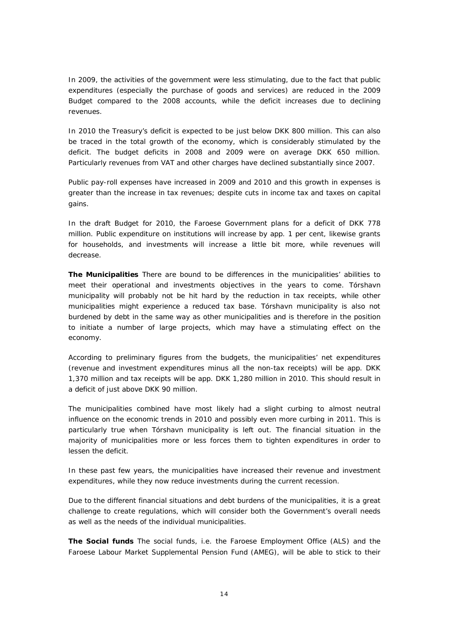In 2009, the activities of the government were less stimulating, due to the fact that public expenditures (especially the purchase of goods and services) are reduced in the 2009 Budget compared to the 2008 accounts, while the deficit increases due to declining revenues.

In 2010 the Treasury's deficit is expected to be just below DKK 800 million. This can also be traced in the total growth of the economy, which is considerably stimulated by the deficit. The budget deficits in 2008 and 2009 were on average DKK 650 million. Particularly revenues from VAT and other charges have declined substantially since 2007.

Public pay-roll expenses have increased in 2009 and 2010 and this growth in expenses is greater than the increase in tax revenues; despite cuts in income tax and taxes on capital gains.

In the draft Budget for 2010, the Faroese Government plans for a deficit of DKK 778 million. Public expenditure on institutions will increase by app. 1 per cent, likewise grants for households, and investments will increase a little bit more, while revenues will decrease.

**The Municipalities** There are bound to be differences in the municipalities' abilities to meet their operational and investments objectives in the years to come. Tórshavn municipality will probably not be hit hard by the reduction in tax receipts, while other municipalities might experience a reduced tax base. Tórshavn municipality is also not burdened by debt in the same way as other municipalities and is therefore in the position to initiate a number of large projects, which may have a stimulating effect on the economy.

According to preliminary figures from the budgets, the municipalities' net expenditures (revenue and investment expenditures minus all the non-tax receipts) will be app. DKK 1,370 million and tax receipts will be app. DKK 1,280 million in 2010. This should result in a deficit of just above DKK 90 million.

The municipalities combined have most likely had a slight curbing to almost neutral influence on the economic trends in 2010 and possibly even more curbing in 2011. This is particularly true when Tórshavn municipality is left out. The financial situation in the majority of municipalities more or less forces them to tighten expenditures in order to lessen the deficit.

In these past few years, the municipalities have increased their revenue and investment expenditures, while they now reduce investments during the current recession.

Due to the different financial situations and debt burdens of the municipalities, it is a great challenge to create regulations, which will consider both the Government's overall needs as well as the needs of the individual municipalities.

**The Social funds** The social funds, i.e. the Faroese Employment Office (ALS) and the Faroese Labour Market Supplemental Pension Fund (AMEG), will be able to stick to their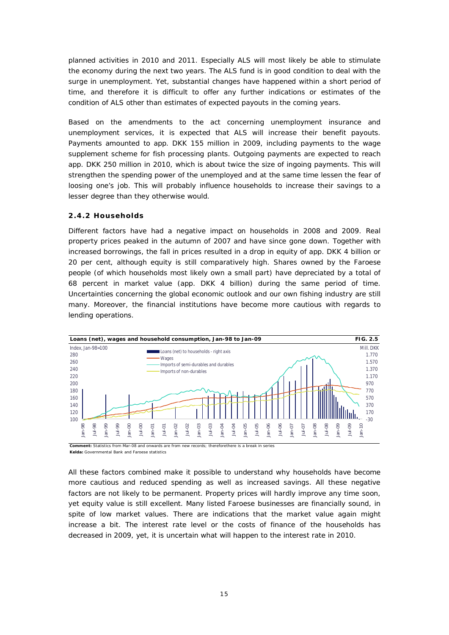planned activities in 2010 and 2011. Especially ALS will most likely be able to stimulate the economy during the next two years. The ALS fund is in good condition to deal with the surge in unemployment. Yet, substantial changes have happened within a short period of time, and therefore it is difficult to offer any further indications or estimates of the condition of ALS other than estimates of expected payouts in the coming years.

Based on the amendments to the act concerning unemployment insurance and unemployment services, it is expected that ALS will increase their benefit payouts. Payments amounted to app. DKK 155 million in 2009, including payments to the wage supplement scheme for fish processing plants. Outgoing payments are expected to reach app. DKK 250 million in 2010, which is about twice the size of ingoing payments. This will strengthen the spending power of the unemployed and at the same time lessen the fear of loosing one's job. This will probably influence households to increase their savings to a lesser degree than they otherwise would.

#### **2.4.2 Households**

Different factors have had a negative impact on households in 2008 and 2009. Real property prices peaked in the autumn of 2007 and have since gone down. Together with increased borrowings, the fall in prices resulted in a drop in equity of app. DKK 4 billion or 20 per cent, although equity is still comparatively high. Shares owned by the Faroese people (of which households most likely own a small part) have depreciated by a total of 68 percent in market value (app. DKK 4 billion) during the same period of time. Uncertainties concerning the global economic outlook and our own fishing industry are still many. Moreover, the financial institutions have become more cautious with regards to lending operations.



**Comment:** Statistics from Mar-08 and onwards are from new records; thereforethere is a break in series

**Kelda:** Governmental Bank and Faroese statistics

All these factors combined make it possible to understand why households have become more cautious and reduced spending as well as increased savings. All these negative factors are not likely to be permanent. Property prices will hardly improve any time soon, yet equity value is still excellent. Many listed Faroese businesses are financially sound, in spite of low market values. There are indications that the market value again might increase a bit. The interest rate level or the costs of finance of the households has decreased in 2009, yet, it is uncertain what will happen to the interest rate in 2010.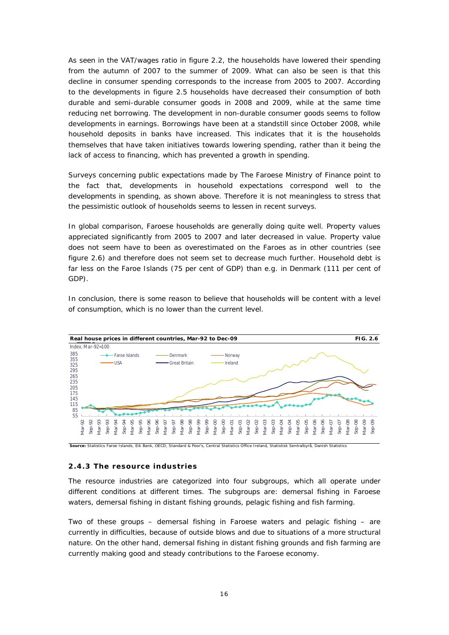As seen in the VAT/wages ratio in figure 2.2, the households have lowered their spending from the autumn of 2007 to the summer of 2009. What can also be seen is that this decline in consumer spending corresponds to the increase from 2005 to 2007. According to the developments in figure 2.5 households have decreased their consumption of both durable and semi-durable consumer goods in 2008 and 2009, while at the same time reducing net borrowing. The development in non-durable consumer goods seems to follow developments in earnings. Borrowings have been at a standstill since October 2008, while household deposits in banks have increased. This indicates that it is the households themselves that have taken initiatives towards lowering spending, rather than it being the lack of access to financing, which has prevented a growth in spending.

Surveys concerning public expectations made by The Faroese Ministry of Finance point to the fact that, developments in household expectations correspond well to the developments in spending, as shown above. Therefore it is not meaningless to stress that the pessimistic outlook of households seems to lessen in recent surveys.

In global comparison, Faroese households are generally doing quite well. Property values appreciated significantly from 2005 to 2007 and later decreased in value. Property value does not seem have to been as overestimated on the Faroes as in other countries (see figure 2.6) and therefore does not seem set to decrease much further. Household debt is far less on the Faroe Islands (75 per cent of GDP) than e.g. in Denmark (111 per cent of GDP).

In conclusion, there is some reason to believe that households will be content with a level of consumption, which is no lower than the current level.



#### **2.4.3 The resource industries**

The resource industries are categorized into four subgroups, which all operate under different conditions at different times. The subgroups are: demersal fishing in Faroese waters, demersal fishing in distant fishing grounds, pelagic fishing and fish farming.

Two of these groups – demersal fishing in Faroese waters and pelagic fishing – are currently in difficulties, because of outside blows and due to situations of a more structural nature. On the other hand, demersal fishing in distant fishing grounds and fish farming are currently making good and steady contributions to the Faroese economy.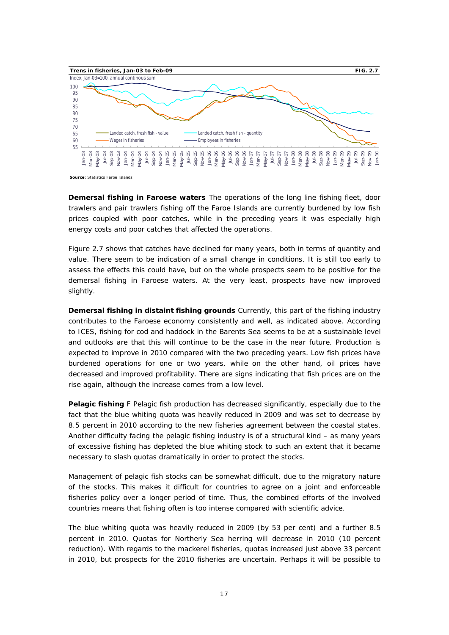

**Source:** Statistics Faroe Islands

**Demersal fishing in Faroese waters** The operations of the long line fishing fleet, door trawlers and pair trawlers fishing off the Faroe Islands are currently burdened by low fish prices coupled with poor catches, while in the preceding years it was especially high energy costs and poor catches that affected the operations.

Figure 2.7 shows that catches have declined for many years, both in terms of quantity and value. There seem to be indication of a small change in conditions. It is still too early to assess the effects this could have, but on the whole prospects seem to be positive for the demersal fishing in Faroese waters. At the very least, prospects have now improved slightly.

**Demersal fishing in distaint fishing grounds** Currently, this part of the fishing industry contributes to the Faroese economy consistently and well, as indicated above. According to ICES, fishing for cod and haddock in the Barents Sea seems to be at a sustainable level and outlooks are that this will continue to be the case in the near future. Production is expected to improve in 2010 compared with the two preceding years. Low fish prices have burdened operations for one or two years, while on the other hand, oil prices have decreased and improved profitability. There are signs indicating that fish prices are on the rise again, although the increase comes from a low level.

**Pelagic fishing** F Pelagic fish production has decreased significantly, especially due to the fact that the blue whiting quota was heavily reduced in 2009 and was set to decrease by 8.5 percent in 2010 according to the new fisheries agreement between the coastal states. Another difficulty facing the pelagic fishing industry is of a structural kind – as many years of excessive fishing has depleted the blue whiting stock to such an extent that it became necessary to slash quotas dramatically in order to protect the stocks.

Management of pelagic fish stocks can be somewhat difficult, due to the migratory nature of the stocks. This makes it difficult for countries to agree on a joint and enforceable fisheries policy over a longer period of time. Thus, the combined efforts of the involved countries means that fishing often is too intense compared with scientific advice.

The blue whiting quota was heavily reduced in 2009 (by 53 per cent) and a further 8.5 percent in 2010. Quotas for Northerly Sea herring will decrease in 2010 (10 percent reduction). With regards to the mackerel fisheries, quotas increased just above 33 percent in 2010, but prospects for the 2010 fisheries are uncertain. Perhaps it will be possible to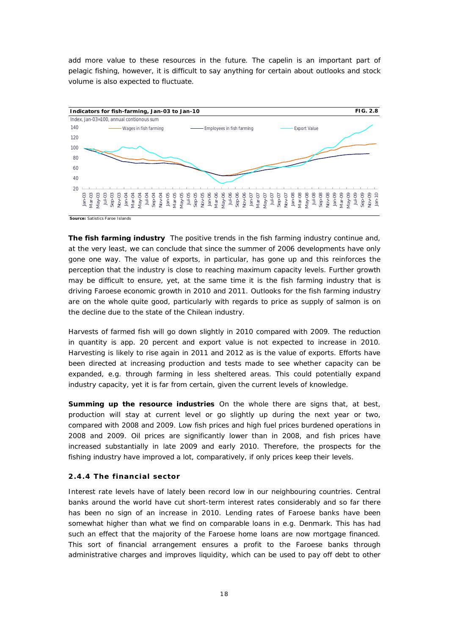add more value to these resources in the future. The capelin is an important part of pelagic fishing, however, it is difficult to say anything for certain about outlooks and stock volume is also expected to fluctuate.



**The fish farming industry** The positive trends in the fish farming industry continue and, at the very least, we can conclude that since the summer of 2006 developments have only gone one way. The value of exports, in particular, has gone up and this reinforces the perception that the industry is close to reaching maximum capacity levels. Further growth may be difficult to ensure, yet, at the same time it is the fish farming industry that is driving Faroese economic growth in 2010 and 2011. Outlooks for the fish farming industry are on the whole quite good, particularly with regards to price as supply of salmon is on the decline due to the state of the Chilean industry.

Harvests of farmed fish will go down slightly in 2010 compared with 2009. The reduction in quantity is app. 20 percent and export value is not expected to increase in 2010. Harvesting is likely to rise again in 2011 and 2012 as is the value of exports. Efforts have been directed at increasing production and tests made to see whether capacity can be expanded, e.g. through farming in less sheltered areas. This could potentially expand industry capacity, yet it is far from certain, given the current levels of knowledge.

**Summing up the resource industries** On the whole there are signs that, at best, production will stay at current level or go slightly up during the next year or two, compared with 2008 and 2009. Low fish prices and high fuel prices burdened operations in 2008 and 2009. Oil prices are significantly lower than in 2008, and fish prices have increased substantially in late 2009 and early 2010. Therefore, the prospects for the fishing industry have improved a lot, comparatively, if only prices keep their levels.

#### **2.4.4 The financial sector**

Interest rate levels have of lately been record low in our neighbouring countries. Central banks around the world have cut short-term interest rates considerably and so far there has been no sign of an increase in 2010. Lending rates of Faroese banks have been somewhat higher than what we find on comparable loans in e.g. Denmark. This has had such an effect that the majority of the Faroese home loans are now mortgage financed. This sort of financial arrangement ensures a profit to the Faroese banks through administrative charges and improves liquidity, which can be used to pay off debt to other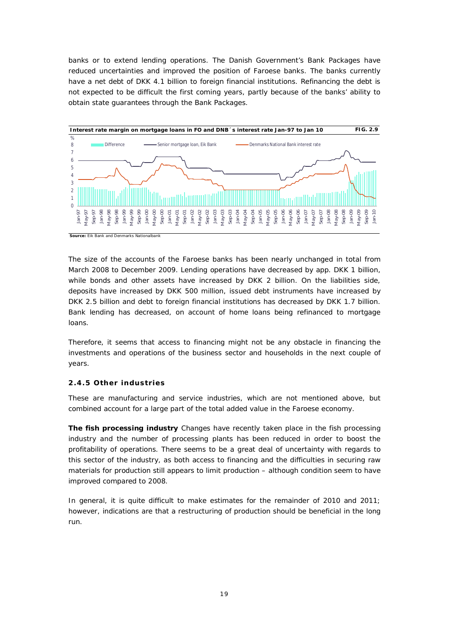banks or to extend lending operations. The Danish Government's *Bank Packages* have reduced uncertainties and improved the position of Faroese banks. The banks currently have a net debt of DKK 4.1 billion to foreign financial institutions. Refinancing the debt is not expected to be difficult the first coming years, partly because of the banks' ability to obtain state guarantees through the *Bank Packages*.



The size of the accounts of the Faroese banks has been nearly unchanged in total from March 2008 to December 2009. Lending operations have decreased by app. DKK 1 billion, while bonds and other assets have increased by DKK 2 billion. On the liabilities side, deposits have increased by DKK 500 million, issued debt instruments have increased by DKK 2.5 billion and debt to foreign financial institutions has decreased by DKK 1.7 billion. Bank lending has decreased, on account of home loans being refinanced to mortgage loans.

Therefore, it seems that access to financing might not be any obstacle in financing the investments and operations of the business sector and households in the next couple of years.

#### **2.4.5 Other industries**

These are manufacturing and service industries, which are not mentioned above, but combined account for a large part of the total added value in the Faroese economy.

**The fish processing industry** Changes have recently taken place in the fish processing industry and the number of processing plants has been reduced in order to boost the profitability of operations. There seems to be a great deal of uncertainty with regards to this sector of the industry, as both access to financing and the difficulties in securing raw materials for production still appears to limit production – although condition seem to have improved compared to 2008.

In general, it is quite difficult to make estimates for the remainder of 2010 and 2011; however, indications are that a restructuring of production should be beneficial in the long run.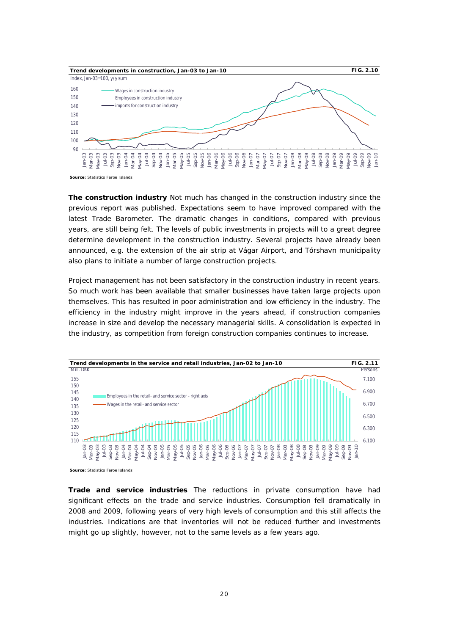

**The construction industry** Not much has changed in the construction industry since the previous report was published. Expectations seem to have improved compared with the latest Trade Barometer. The dramatic changes in conditions, compared with previous years, are still being felt. The levels of public investments in projects will to a great degree determine development in the construction industry. Several projects have already been announced, e.g. the extension of the air strip at Vágar Airport, and Tórshavn municipality also plans to initiate a number of large construction projects.

Project management has not been satisfactory in the construction industry in recent years. So much work has been available that smaller businesses have taken large projects upon themselves. This has resulted in poor administration and low efficiency in the industry. The efficiency in the industry might improve in the years ahead, if construction companies increase in size and develop the necessary managerial skills. A consolidation is expected in the industry, as competition from foreign construction companies continues to increase.



**Source: Statistics Faroe Islands** 

**Trade and service industries** The reductions in private consumption have had significant effects on the trade and service industries. Consumption fell dramatically in 2008 and 2009, following years of very high levels of consumption and this still affects the industries. Indications are that inventories will not be reduced further and investments might go up slightly, however, not to the same levels as a few years ago.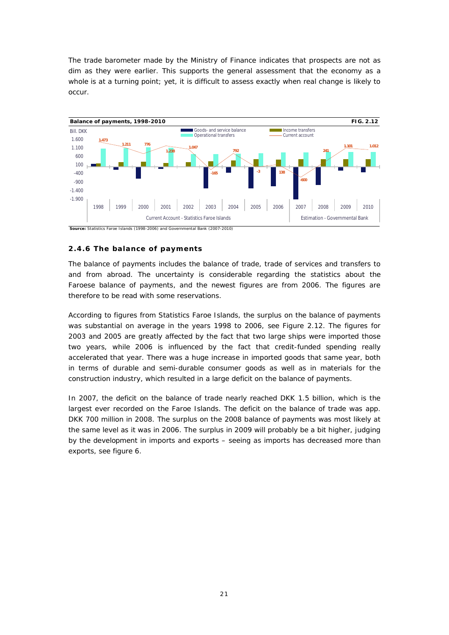The trade barometer made by the Ministry of Finance indicates that prospects are not as dim as they were earlier. This supports the general assessment that the economy as a whole is at a turning point; yet, it is difficult to assess exactly when real change is likely to occur.



#### **2.4.6 The balance of payments**

The balance of payments includes the balance of trade, trade of services and transfers to and from abroad. The uncertainty is considerable regarding the statistics about the Faroese balance of payments, and the newest figures are from 2006. The figures are therefore to be read with some reservations.

According to figures from Statistics Faroe Islands, the surplus on the balance of payments was substantial on average in the years 1998 to 2006, see Figure 2.12. The figures for 2003 and 2005 are greatly affected by the fact that two large ships were imported those two years, while 2006 is influenced by the fact that credit-funded spending really accelerated that year. There was a huge increase in imported goods that same year, both in terms of durable and semi-durable consumer goods as well as in materials for the construction industry, which resulted in a large deficit on the balance of payments.

In 2007, the deficit on the balance of trade nearly reached DKK 1.5 billion, which is the largest ever recorded on the Faroe Islands. The deficit on the balance of trade was app. DKK 700 million in 2008. The surplus on the 2008 balance of payments was most likely at the same level as it was in 2006. The surplus in 2009 will probably be a bit higher, judging by the development in imports and exports – seeing as imports has decreased more than exports, see figure 6.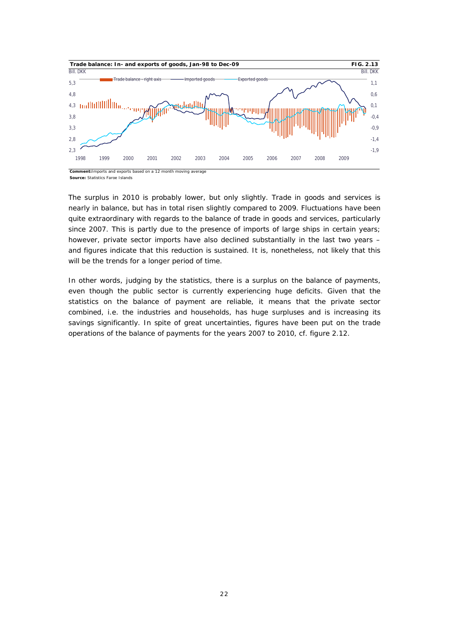

**Source:** Statistics Faroe Islands

The surplus in 2010 is probably lower, but only slightly. Trade in goods and services is nearly in balance, but has in total risen slightly compared to 2009. Fluctuations have been quite extraordinary with regards to the balance of trade in goods and services, particularly since 2007. This is partly due to the presence of imports of large ships in certain years; however, private sector imports have also declined substantially in the last two years – and figures indicate that this reduction is sustained. It is, nonetheless, not likely that this will be the trends for a longer period of time.

In other words, judging by the statistics, there is a surplus on the balance of payments, even though the public sector is currently experiencing huge deficits. Given that the statistics on the balance of payment are reliable, it means that the private sector combined, i.e. the industries and households, has huge surpluses and is increasing its savings significantly. In spite of great uncertainties, figures have been put on the trade operations of the balance of payments for the years 2007 to 2010, cf. figure 2.12.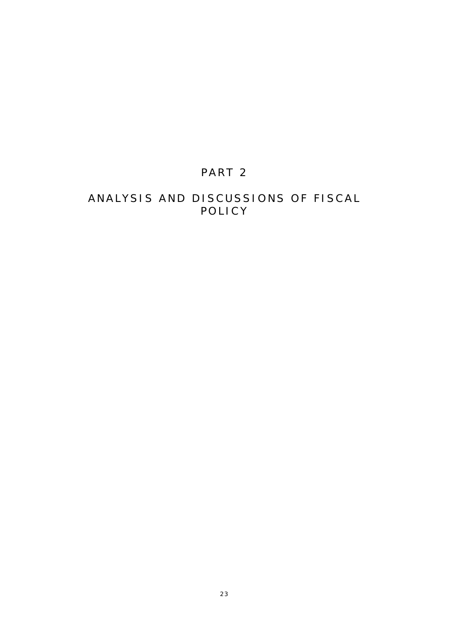# PART 2

# ANALYSIS AND DISCUSSIONS OF FISCAL POLICY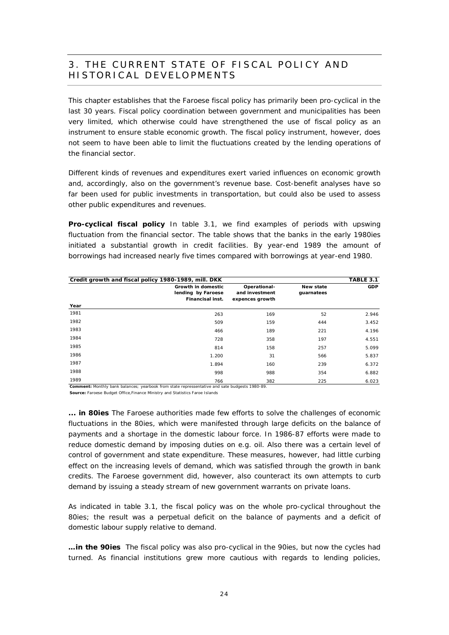### 3. THE CURRENT STATE OF FISCAL POLICY AND HISTORICAL DEVELOPMENTS

This chapter establishes that the Faroese fiscal policy has primarily been pro-cyclical in the last 30 years. Fiscal policy coordination between government and municipalities has been very limited, which otherwise could have strengthened the use of fiscal policy as an instrument to ensure stable economic growth. The fiscal policy instrument, however, does not seem to have been able to limit the fluctuations created by the lending operations of the financial sector.

Different kinds of revenues and expenditures exert varied influences on economic growth and, accordingly, also on the government's revenue base. Cost-benefit analyses have so far been used for public investments in transportation, but could also be used to assess other public expenditures and revenues.

**Pro-cyclical fiscal policy** In table 3.1, we find examples of periods with upswing fluctuation from the financial sector. The table shows that the banks in the early 1980ies initiated a substantial growth in credit facilities. By year-end 1989 the amount of borrowings had increased nearly five times compared with borrowings at year-end 1980.

| Credit growth and fiscal policy 1980-1989, mill. DKK |                                                              |                                                   |                         | TABLE 3.1  |
|------------------------------------------------------|--------------------------------------------------------------|---------------------------------------------------|-------------------------|------------|
|                                                      | Growth in domestic<br>lending by Faroese<br>Financisal inst. | Operational-<br>and investment<br>expences growth | New state<br>guarnatees | <b>GDP</b> |
| Year                                                 |                                                              |                                                   |                         |            |
| 1981                                                 | 263                                                          | 169                                               | 52                      | 2.946      |
| 1982                                                 | 509                                                          | 159                                               | 444                     | 3.452      |
| 1983                                                 | 466                                                          | 189                                               | 221                     | 4.196      |
| 1984                                                 | 728                                                          | 358                                               | 197                     | 4.551      |
| 1985                                                 | 814                                                          | 158                                               | 257                     | 5.099      |
| 1986                                                 | 1.200                                                        | 31                                                | 566                     | 5.837      |
| 1987                                                 | 1.894                                                        | 160                                               | 239                     | 6.372      |
| 1988                                                 | 998                                                          | 988                                               | 354                     | 6.882      |
| 1989                                                 | 766                                                          | 382                                               | 225                     | 6.023      |

**Comment:** Monthly bank balances; yearbook from state repressentative and sate budgests 1980-89.

**Source:** Faroese Budget Office,Finance Ministry and Statistics Faroe Islands

**... in 80ies** The Faroese authorities made few efforts to solve the challenges of economic fluctuations in the 80ies, which were manifested through large deficits on the balance of payments and a shortage in the domestic labour force. In 1986-87 efforts were made to reduce domestic demand by imposing duties on e.g. oil. Also there was a certain level of control of government and state expenditure. These measures, however, had little curbing effect on the increasing levels of demand, which was satisfied through the growth in bank credits. The Faroese government did, however, also counteract its own attempts to curb demand by issuing a steady stream of new government warrants on private loans.

As indicated in table 3.1, the fiscal policy was on the whole pro-cyclical throughout the 80ies; the result was a perpetual deficit on the balance of payments and a deficit of domestic labour supply relative to demand.

**…in the 90ies** The fiscal policy was also pro-cyclical in the 90ies, but now the cycles had turned. As financial institutions grew more cautious with regards to lending policies,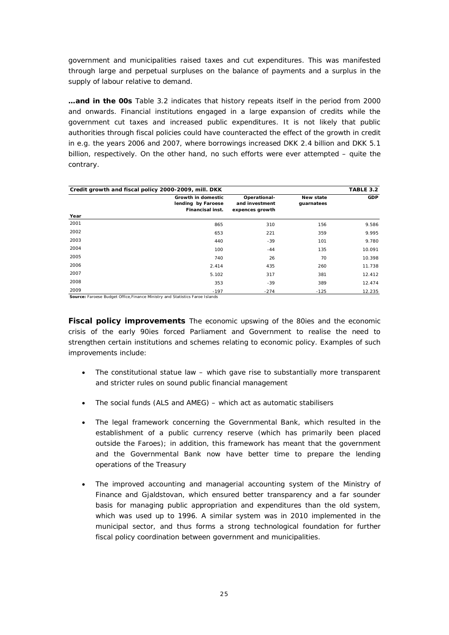government and municipalities raised taxes and cut expenditures. This was manifested through large and perpetual surpluses on the balance of payments and a surplus in the supply of labour relative to demand.

**…and in the 00s** Table 3.2 indicates that history repeats itself in the period from 2000 and onwards. Financial institutions engaged in a large expansion of credits while the government cut taxes and increased public expenditures. It is not likely that public authorities through fiscal policies could have counteracted the effect of the growth in credit in e.g. the years 2006 and 2007, where borrowings increased DKK 2.4 billion and DKK 5.1 billion, respectively. On the other hand, no such efforts were ever attempted – quite the contrary.

|                          | Credit growth and fiscal policy 2000-2009, mill. DKK<br>TABLE 3.2 |                                                   |                         |            |  |  |  |  |
|--------------------------|-------------------------------------------------------------------|---------------------------------------------------|-------------------------|------------|--|--|--|--|
|                          | Growth in domestic<br>lending by Faroese<br>Financisal inst.      | Operational-<br>and investment<br>expences growth | New state<br>guarnatees | <b>GDP</b> |  |  |  |  |
| Year                     |                                                                   |                                                   |                         |            |  |  |  |  |
| 2001                     | 865                                                               | 310                                               | 156                     | 9.586      |  |  |  |  |
| 2002                     | 653                                                               | 221                                               | 359                     | 9.995      |  |  |  |  |
| 2003                     | 440                                                               | $-39$                                             | 101                     | 9.780      |  |  |  |  |
| 2004                     | 100                                                               | $-44$                                             | 135                     | 10.091     |  |  |  |  |
| 2005                     | 740                                                               | 26                                                | 70                      | 10.398     |  |  |  |  |
| 2006                     | 2.414                                                             | 435                                               | 260                     | 11.738     |  |  |  |  |
| 2007                     | 5.102                                                             | 317                                               | 381                     | 12.412     |  |  |  |  |
| 2008                     | 353                                                               | $-39$                                             | 389                     | 12.474     |  |  |  |  |
| 2009<br>_ _ _ _ _<br>$-$ | $-197$<br>.                                                       | $-274$                                            | $-125$                  | 12.235     |  |  |  |  |

Source: Faroese Budget Office, Finance Ministry and Statistics Faroe Islands

**Fiscal policy improvements** The economic upswing of the 80ies and the economic crisis of the early 90ies forced Parliament and Government to realise the need to strengthen certain institutions and schemes relating to economic policy. Examples of such improvements include:

- The constitutional statue law which gave rise to substantially more transparent and stricter rules on sound public financial management
- The social funds (ALS and AMEG) which act as automatic stabilisers
- The legal framework concerning the Governmental Bank, which resulted in the establishment of a public currency reserve (which has primarily been placed outside the Faroes); in addition, this framework has meant that the government and the Governmental Bank now have better time to prepare the lending operations of the Treasury
- The improved accounting and managerial accounting system of the Ministry of Finance and Gjaldstovan, which ensured better transparency and a far sounder basis for managing public appropriation and expenditures than the old system, which was used up to 1996. A similar system was in 2010 implemented in the municipal sector, and thus forms a strong technological foundation for further fiscal policy coordination between government and municipalities.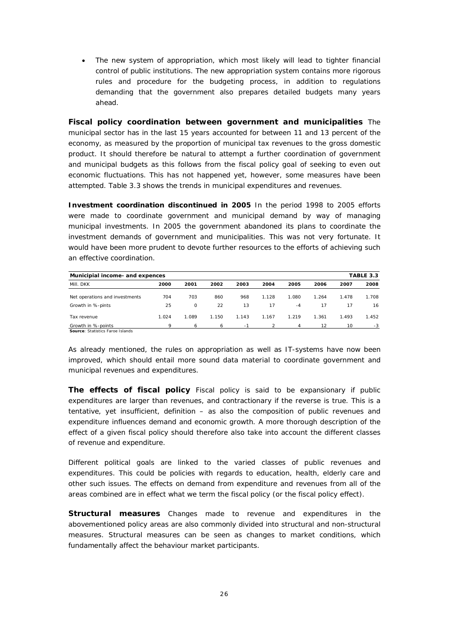• The new system of appropriation, which most likely will lead to tighter financial control of public institutions. The new appropriation system contains more rigorous rules and procedure for the budgeting process, in addition to regulations demanding that the government also prepares detailed budgets many years ahead.

**Fiscal policy coordination between government and municipalities** The municipal sector has in the last 15 years accounted for between 11 and 13 percent of the economy, as measured by the proportion of municipal tax revenues to the gross domestic product. It should therefore be natural to attempt a further coordination of government and municipal budgets as this follows from the fiscal policy goal of seeking to even out economic fluctuations. This has not happened yet, however, some measures have been attempted. Table 3.3 shows the trends in municipal expenditures and revenues.

**Investment coordination discontinued in 2005** In the period 1998 to 2005 efforts were made to coordinate government and municipal demand by way of managing municipal investments. In 2005 the government abandoned its plans to coordinate the investment demands of government and municipalities. This was not very fortunate. It would have been more prudent to devote further resources to the efforts of achieving such an effective coordination.

| TABLE 3.3<br>Municipial income- and expences           |       |         |       |       |       |       |       |       |       |
|--------------------------------------------------------|-------|---------|-------|-------|-------|-------|-------|-------|-------|
| Mill. DKK                                              | 2000  | 2001    | 2002  | 2003  | 2004  | 2005  | 2006  | 2007  | 2008  |
| Net operations and investments                         | 704   | 703     | 860   | 968   | 1.128 | 1.080 | 1.264 | 1.478 | 1.708 |
| Growth in %-pints                                      | 25    | $\circ$ | 22    | 13    | 17    | $-4$  | 17    | 17    | 16    |
| Tax revenue                                            | 1.024 | 1.089   | 1.150 | 1.143 | 1.167 | 1.219 | 1.361 | 1.493 | 1.452 |
| Growth in %-points<br>Source: Statistics Faroe Islands | 9     | 6       | 6     | - 1   |       | 4     | 12    | 10    | -3    |

As already mentioned, the rules on appropriation as well as IT-systems have now been improved, which should entail more sound data material to coordinate government and municipal revenues and expenditures.

**The effects of fiscal policy** Fiscal policy is said to be expansionary if public expenditures are larger than revenues, and contractionary if the reverse is true. This is a tentative, yet insufficient, definition – as also the composition of public revenues and expenditure influences demand and economic growth. A more thorough description of the effect of a given fiscal policy should therefore also take into account the different classes of revenue and expenditure.

Different political goals are linked to the varied classes of public revenues and expenditures. This could be policies with regards to education, health, elderly care and other such issues. The effects on demand from expenditure and revenues from all of the areas combined are in effect what we term the fiscal policy (or the fiscal policy effect).

**Structural measures** Changes made to revenue and expenditures in the abovementioned policy areas are also commonly divided into structural and non-structural measures. Structural measures can be seen as changes to market conditions, which fundamentally affect the behaviour market participants.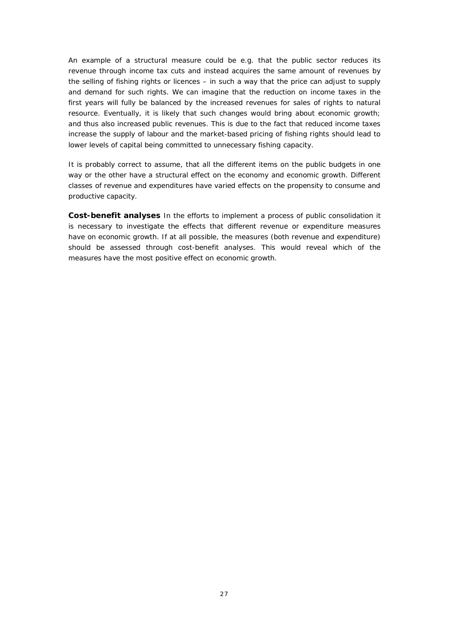An example of a structural measure could be e.g. that the public sector reduces its revenue through income tax cuts and instead acquires the same amount of revenues by the selling of fishing rights or licences – in such a way that the price can adjust to supply and demand for such rights. We can imagine that the reduction on income taxes in the first years will fully be balanced by the increased revenues for sales of rights to natural resource. Eventually, it is likely that such changes would bring about economic growth; and thus also increased public revenues. This is due to the fact that reduced income taxes increase the supply of labour and the market-based pricing of fishing rights should lead to lower levels of capital being committed to unnecessary fishing capacity.

It is probably correct to assume, that all the different items on the public budgets in one way or the other have a structural effect on the economy and economic growth. Different classes of revenue and expenditures have varied effects on the propensity to consume and productive capacity.

**Cost-benefit analyses** In the efforts to implement a process of public consolidation it is necessary to investigate the effects that different revenue or expenditure measures have on economic growth. If at all possible, the measures (both revenue and expenditure) should be assessed through cost-benefit analyses. This would reveal which of the measures have the most positive effect on economic growth.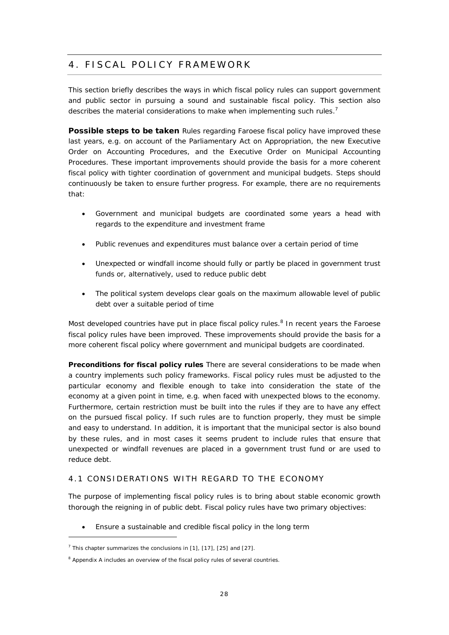# 4. FISCAL POLICY FRAMEWORK

This section briefly describes the ways in which fiscal policy rules can support government and public sector in pursuing a sound and sustainable fiscal policy. This section also describes the material considerations to make when implementing such rules.<sup>7</sup>

**Possible steps to be taken** Rules regarding Faroese fiscal policy have improved these last years, e.g. on account of the Parliamentary Act on Appropriation, the new Executive Order on Accounting Procedures, and the Executive Order on Municipal Accounting Procedures. These important improvements should provide the basis for a more coherent fiscal policy with tighter coordination of government and municipal budgets. Steps should continuously be taken to ensure further progress. For example, there are no requirements that:

- Government and municipal budgets are coordinated some years a head with regards to the expenditure and investment frame
- Public revenues and expenditures must balance over a certain period of time
- Unexpected or windfall income should fully or partly be placed in government trust funds or, alternatively, used to reduce public debt
- The political system develops clear goals on the maximum allowable level of public debt over a suitable period of time

Most developed countries have put in place fiscal policy rules.<sup>8</sup> In recent years the Faroese fiscal policy rules have been improved. These improvements should provide the basis for a more coherent fiscal policy where government and municipal budgets are coordinated.

**Preconditions for fiscal policy rules** There are several considerations to be made when a country implements such policy frameworks. Fiscal policy rules must be adjusted to the particular economy and flexible enough to take into consideration the state of the economy at a given point in time, e.g. when faced with unexpected blows to the economy. Furthermore, certain restriction must be built into the rules if they are to have any effect on the pursued fiscal policy. If such rules are to function properly, they must be simple and easy to understand. In addition, it is important that the municipal sector is also bound by these rules, and in most cases it seems prudent to include rules that ensure that unexpected or windfall revenues are placed in a government trust fund or are used to reduce debt.

#### 4.1 CONSIDERATIONS WITH REGARD TO THE ECONOMY

The purpose of implementing fiscal policy rules is to bring about stable economic growth thorough the reigning in of public debt. Fiscal policy rules have two primary objectives:

Ensure a sustainable and credible fiscal policy in the long term

 $<sup>7</sup>$  This chapter summarizes the conclusions in [1], [17], [25] and [27].</sup>

<sup>&</sup>lt;sup>8</sup> Appendix A includes an overview of the fiscal policy rules of several countries.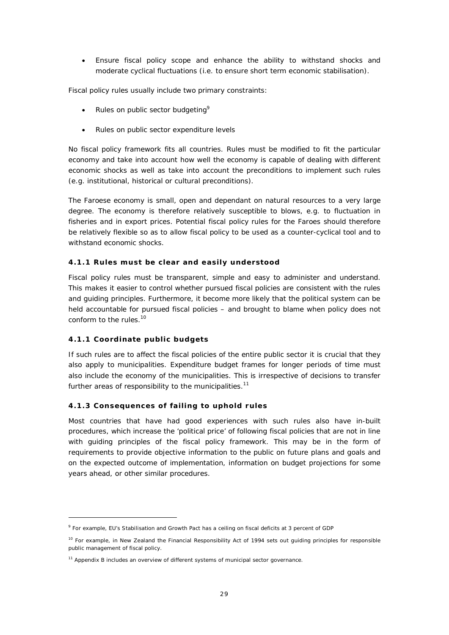• Ensure fiscal policy scope and enhance the ability to withstand shocks and moderate cyclical fluctuations (i.e. to ensure short term economic stabilisation).

Fiscal policy rules usually include two primary constraints:

- Rules on public sector budgeting<sup>9</sup>
- Rules on public sector expenditure levels

No fiscal policy framework fits all countries. Rules must be modified to fit the particular economy and take into account how well the economy is capable of dealing with different economic shocks as well as take into account the preconditions to implement such rules (e.g. institutional, historical or cultural preconditions).

The Faroese economy is small, open and dependant on natural resources to a very large degree. The economy is therefore relatively susceptible to blows, e.g. to fluctuation in fisheries and in export prices. Potential fiscal policy rules for the Faroes should therefore be relatively flexible so as to allow fiscal policy to be used as a counter-cyclical tool and to withstand economic shocks.

#### **4.1.1 Rules must be clear and easily understood**

Fiscal policy rules must be transparent, simple and easy to administer and understand. This makes it easier to control whether pursued fiscal policies are consistent with the rules and guiding principles. Furthermore, it become more likely that the political system can be held accountable for pursued fiscal policies – and brought to blame when policy does not conform to the rules.<sup>10</sup>

#### **4.1.1 Coordinate public budgets**

If such rules are to affect the fiscal policies of the entire public sector it is crucial that they also apply to municipalities. Expenditure budget frames for longer periods of time must also include the economy of the municipalities. This is irrespective of decisions to transfer further areas of responsibility to the municipalities. $11$ 

#### **4.1.3 Consequences of failing to uphold rules**

Most countries that have had good experiences with such rules also have in-built procedures, which increase the 'political price' of following fiscal policies that are not in line with guiding principles of the fiscal policy framework. This may be in the form of requirements to provide objective information to the public on future plans and goals and on the expected outcome of implementation, information on budget projections for some years ahead, or other similar procedures.

<sup>&</sup>lt;sup>9</sup> For example, EU's Stabilisation and Growth Pact has a ceiling on fiscal deficits at 3 percent of GDP

<sup>&</sup>lt;sup>10</sup> For example, in New Zealand the Financial Responsibility Act of 1994 sets out quiding principles for responsible public management of fiscal policy.

<sup>&</sup>lt;sup>11</sup> Appendix B includes an overview of different systems of municipal sector governance.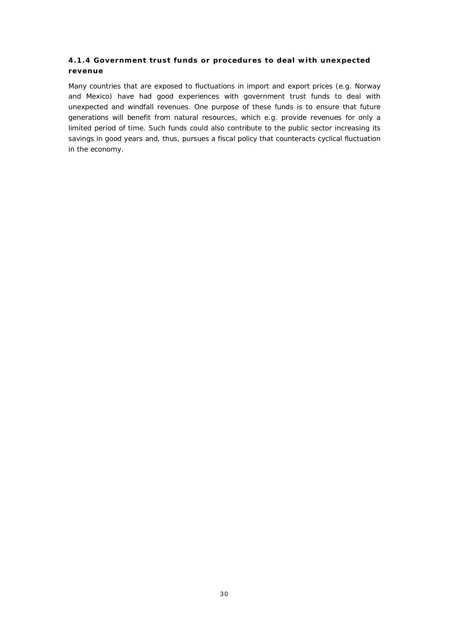#### **4.1.4 Government trust funds or procedures to deal with unexpected revenue**

Many countries that are exposed to fluctuations in import and export prices (e.g. Norway and Mexico) have had good experiences with government trust funds to deal with unexpected and windfall revenues. One purpose of these funds is to ensure that future generations will benefit from natural resources, which e.g. provide revenues for only a limited period of time. Such funds could also contribute to the public sector increasing its savings in good years and, thus, pursues a fiscal policy that counteracts cyclical fluctuation in the economy.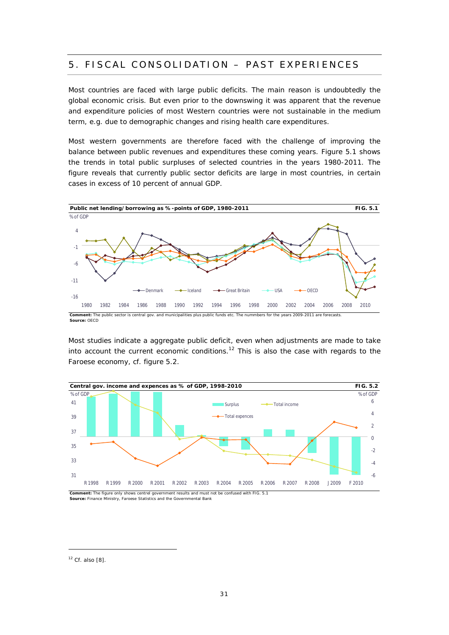### 5. FISCAL CONSOLIDATION – PAST EXPERIENCES

Most countries are faced with large public deficits. The main reason is undoubtedly the global economic crisis. But even prior to the downswing it was apparent that the revenue and expenditure policies of most Western countries were not sustainable in the medium term, e.g. due to demographic changes and rising health care expenditures.

Most western governments are therefore faced with the challenge of improving the balance between public revenues and expenditures these coming years. Figure 5.1 shows the trends in total public surpluses of selected countries in the years 1980-2011. The figure reveals that currently public sector deficits are large in most countries, in certain cases in excess of 10 percent of annual GDP.



Most studies indicate a aggregate public deficit, even when adjustments are made to take into account the current economic conditions.<sup>12</sup> This is also the case with regards to the Faroese economy, cf. figure 5.2.



**Source:** Finance Ministry, Faroese Statistics and the Governmental Bank

 $12$  Cf. also [8].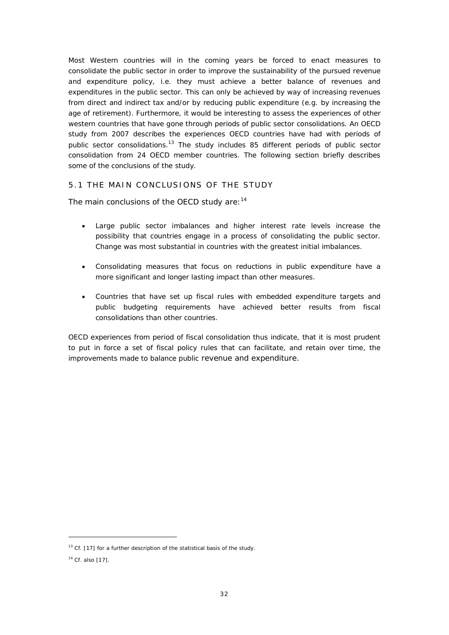Most Western countries will in the coming years be forced to enact measures to consolidate the public sector in order to improve the sustainability of the pursued revenue and expenditure policy, i.e. they must achieve a better balance of revenues and expenditures in the public sector. This can only be achieved by way of increasing revenues from direct and indirect tax and/or by reducing public expenditure (e.g. by increasing the age of retirement). Furthermore, it would be interesting to assess the experiences of other western countries that have gone through periods of public sector consolidations. An OECD study from 2007 describes the experiences OECD countries have had with periods of public sector consolidations.<sup>13</sup> The study includes 85 different periods of public sector consolidation from 24 OECD member countries. The following section briefly describes some of the conclusions of the study.

#### 5.1 THE MAIN CONCLUSIONS OF THE STUDY

The main conclusions of the OECD study are:<sup>14</sup>

- Large public sector imbalances and higher interest rate levels increase the possibility that countries engage in a process of consolidating the public sector. Change was most substantial in countries with the greatest initial imbalances.
- Consolidating measures that focus on reductions in public expenditure have a more significant and longer lasting impact than other measures.
- Countries that have set up fiscal rules with embedded expenditure targets and public budgeting requirements have achieved better results from fiscal consolidations than other countries.

OECD experiences from period of fiscal consolidation thus indicate, that it is most prudent to put in force a set of fiscal policy rules that can facilitate, and retain over time, the improvements made to balance public revenue and expenditure.

 $13$  Cf. [17] for a further description of the statistical basis of the study.

<sup>14</sup> Cf. also [17].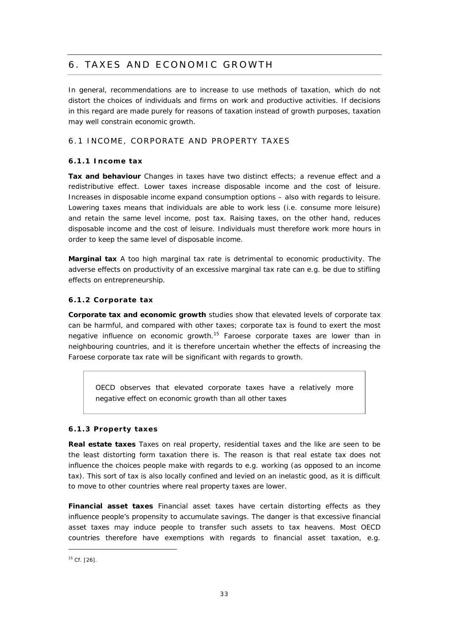# 6. TAXES AND ECONOMIC GROWTH

In general, recommendations are to increase to use methods of taxation, which do not distort the choices of individuals and firms on work and productive activities. If decisions in this regard are made purely for reasons of taxation instead of growth purposes, taxation may well constrain economic growth.

#### 6.1 INCOME, CORPORATE AND PROPERTY TAXES

#### **6.1.1 Income tax**

**Tax and behaviour** Changes in taxes have two distinct effects; a revenue effect and a redistributive effect. Lower taxes increase disposable income and the cost of leisure. Increases in disposable income expand consumption options – also with regards to leisure. Lowering taxes means that individuals are able to work less (i.e. consume more leisure) and retain the same level income, post tax. Raising taxes, on the other hand, reduces disposable income and the cost of leisure. Individuals must therefore work more hours in order to keep the same level of disposable income.

**Marginal tax** A too high marginal tax rate is detrimental to economic productivity. The adverse effects on productivity of an excessive marginal tax rate can e.g. be due to stifling effects on entrepreneurship.

#### **6.1.2 Corporate tax**

**Corporate tax and economic growth** studies show that elevated levels of corporate tax can be harmful, and compared with other taxes; corporate tax is found to exert the most negative influence on economic growth.<sup>15</sup> Faroese corporate taxes are lower than in neighbouring countries, and it is therefore uncertain whether the effects of increasing the Faroese corporate tax rate will be significant with regards to growth.

*OECD observes that elevated corporate taxes have a relatively more negative effect on economic growth than all other taxes*

#### **6.1.3 Property taxes**

**Real estate taxes** *Taxes on real property, residential taxes and the like are seen to be the least distorting form taxation there is. The reason is that real estate tax does not influence the choices people make with regards to e.g. working (as opposed to an income tax*). This sort of tax is also locally confined and levied on an inelastic good, as it is difficult to move to other countries where real property taxes are lower.

**Financial asset taxes** Financial asset taxes have certain distorting effects as they influence people's propensity to accumulate savings. The danger is that excessive financial asset taxes may induce people to transfer such assets to tax heavens. Most OECD countries therefore have exemptions with regards to financial asset taxation, e.g.

 $15$  Cf. [26].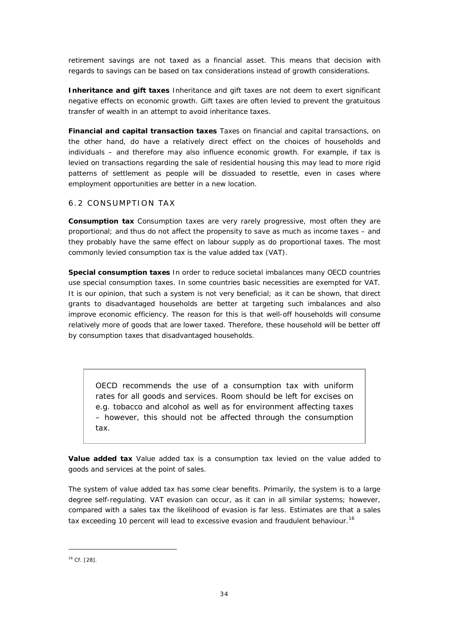retirement savings are not taxed as a financial asset. This means that decision with regards to savings can be based on tax considerations instead of growth considerations.

**Inheritance and gift taxes** Inheritance and gift taxes are not deem to exert significant negative effects on economic growth. Gift taxes are often levied to prevent the gratuitous transfer of wealth in an attempt to avoid inheritance taxes.

**Financial and capital transaction taxes** Taxes on financial and capital transactions, on the other hand, do have a relatively direct effect on the choices of households and individuals – and therefore may also influence economic growth. For example, if tax is levied on transactions regarding the sale of residential housing this may lead to more rigid patterns of settlement as people will be dissuaded to resettle, even in cases where employment opportunities are better in a new location.

#### 6.2 CONSUMPTION TAX

**Consumption tax** Consumption taxes are very rarely progressive, most often they are proportional; and thus do not affect the propensity to save as much as income taxes – and they probably have the same effect on labour supply as do proportional taxes. The most commonly levied consumption tax is the value added tax (VAT).

**Special consumption taxes** In order to reduce societal imbalances many OECD countries use special consumption taxes. In some countries basic necessities are exempted for VAT. It is our opinion, that such a system is not very beneficial; as it can be shown, that direct grants to disadvantaged households are better at targeting such imbalances and also improve economic efficiency. The reason for this is that well-off households will consume relatively more of goods that are lower taxed. Therefore, these household will be better off by consumption taxes that disadvantaged households.

*OECD recommends the use of a consumption tax with uniform rates for all goods and services. Room should be left for excises on e.g. tobacco and alcohol as well as for environment affecting taxes – however, this should not be affected through the consumption tax.*

**Value added tax** Value added tax is a consumption tax levied on the value added to goods and services at the point of sales.

The system of value added tax has some clear benefits. Primarily, the system is to a large degree self-regulating. VAT evasion can occur, as it can in all similar systems; however, compared with a sales tax the likelihood of evasion is far less. Estimates are that a sales tax exceeding 10 percent will lead to excessive evasion and fraudulent behaviour.<sup>16</sup>

<sup>16</sup> Cf. [28].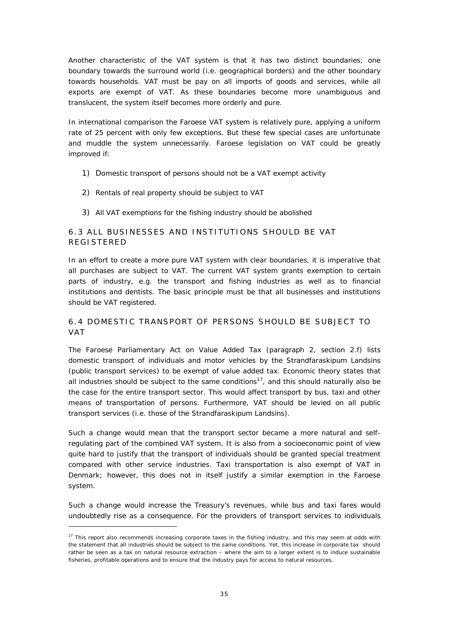Another characteristic of the VAT system is that it has two distinct boundaries; one boundary towards the surround world (i.e. geographical borders) and the other boundary towards households. VAT must be pay on all imports of goods and services, while all exports are exempt of VAT. As these boundaries become more unambiguous and translucent, the system itself becomes more orderly and pure.

In international comparison the Faroese VAT system is relatively pure, applying a uniform rate of 25 percent with only few exceptions. But these few special cases are unfortunate and muddle the system unnecessarily. Faroese legislation on VAT could be greatly improved if:

- 1) Domestic transport of persons should not be a VAT exempt activity
- 2) Rentals of real property should be subject to VAT
- 3) All VAT exemptions for the fishing industry should be abolished

#### 6.3 ALL BUSINESSES AND INSTITUTIONS SHOULD BE VAT REGISTERED

In an effort to create a more pure VAT system with clear boundaries, it is imperative that all purchases are subject to VAT. The current VAT system grants exemption to certain parts of industry, e.g. the transport and fishing industries as well as to financial institutions and dentists. The basic principle must be that all businesses and institutions should be VAT registered.

#### 6.4 DOMESTIC TRANSPORT OF PERSONS SHOULD BE SUBJECT TO VAT

The Faroese Parliamentary Act on Value Added Tax (paragraph 2, section 2.f) lists domestic transport of individuals and motor vehicles by the Strandfaraskipum Landsins (public transport services) to be exempt of value added tax. Economic theory states that all industries should be subject to the same conditions<sup>17</sup>, and this should naturally also be the case for the entire transport sector. This would affect transport by bus, taxi and other means of transportation of persons. Furthermore, VAT should be levied on all public transport services (i.e. those of the Strandfaraskipum Landsins).

Such a change would mean that the transport sector became a more natural and selfregulating part of the combined VAT system. It is also from a socioeconomic point of view quite hard to justify that the transport of individuals should be granted special treatment compared with other service industries. Taxi transportation is also exempt of VAT in Denmark; however, this does not in itself justify a similar exemption in the Faroese system.

Such a change would increase the Treasury's revenues, while bus and taxi fares would undoubtedly rise as a consequence. For the providers of transport services to individuals

<sup>&</sup>lt;sup>17</sup> This report also recommends increasing corporate taxes in the fishing industry, and this may seem at odds with the statement that all industries should be subject to the same conditions. Yet, this increase in corporate tax should rather be seen as a tax on natural resource extraction – where the aim to a larger extent is to induce sustainable fisheries, profitable operations and to ensure that the industry pays for access to natural resources.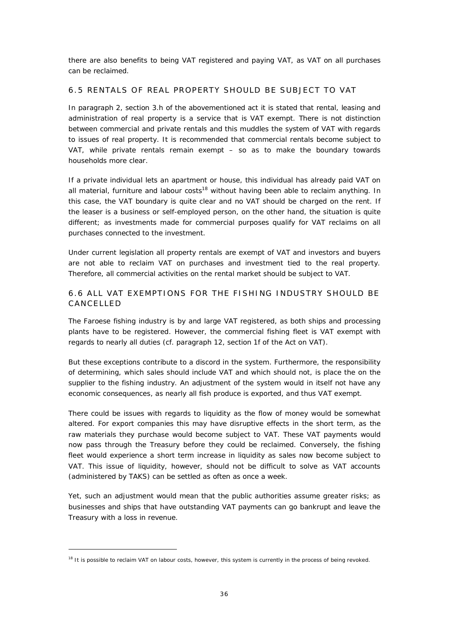there are also benefits to being VAT registered and paying VAT, as VAT on all purchases can be reclaimed.

#### 6.5 RENTALS OF REAL PROPERTY SHOULD BE SUBJECT TO VAT

In paragraph 2, section 3.h of the abovementioned act it is stated that rental, leasing and administration of real property is a service that is VAT exempt. There is not distinction between commercial and private rentals and this muddles the system of VAT with regards to issues of real property. It is recommended that commercial rentals become subject to VAT, while private rentals remain exempt – so as to make the boundary towards households more clear.

If a private individual lets an apartment or house, this individual has already paid VAT on all material, furniture and labour costs<sup>18</sup> without having been able to reclaim anything. In this case, the VAT boundary is quite clear and no VAT should be charged on the rent. If the leaser is a business or self-employed person, on the other hand, the situation is quite different; as investments made for commercial purposes qualify for VAT reclaims on all purchases connected to the investment.

Under current legislation all property rentals are exempt of VAT and investors and buyers are not able to reclaim VAT on purchases and investment tied to the real property. Therefore, all commercial activities on the rental market should be subject to VAT.

#### 6.6 ALL VAT EXEMPTIONS FOR THE FISHING INDUSTRY SHOULD BE **CANCELLED**

The Faroese fishing industry is by and large VAT registered, as both ships and processing plants have to be registered. However, the commercial fishing fleet is VAT exempt with regards to nearly all duties (cf. paragraph 12, section 1f of the Act on VAT).

But these exceptions contribute to a discord in the system. Furthermore, the responsibility of determining, which sales should include VAT and which should not, is place the on the supplier to the fishing industry. An adjustment of the system would in itself not have any economic consequences, as nearly all fish produce is exported, and thus VAT exempt.

There could be issues with regards to liquidity as the flow of money would be somewhat altered. For export companies this may have disruptive effects in the short term, as the raw materials they purchase would become subject to VAT. These VAT payments would now pass through the Treasury before they could be reclaimed. Conversely, the fishing fleet would experience a short term increase in liquidity as sales now become subject to VAT. This issue of liquidity, however, should not be difficult to solve as VAT accounts (administered by TAKS) can be settled as often as once a week.

Yet, such an adjustment would mean that the public authorities assume greater risks; as businesses and ships that have outstanding VAT payments can go bankrupt and leave the Treasury with a loss in revenue.

<sup>&</sup>lt;sup>18</sup> It is possible to reclaim VAT on labour costs, however, this system is currently in the process of being revoked.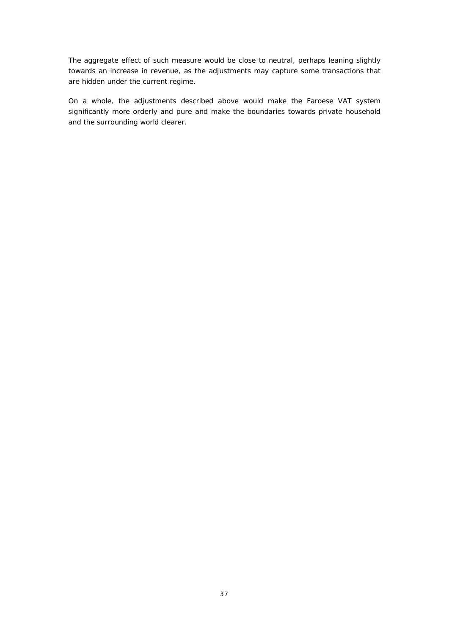The aggregate effect of such measure would be close to neutral, perhaps leaning slightly towards an increase in revenue, as the adjustments may capture some transactions that are hidden under the current regime.

On a whole, the adjustments described above would make the Faroese VAT system significantly more orderly and pure and make the boundaries towards private household and the surrounding world clearer.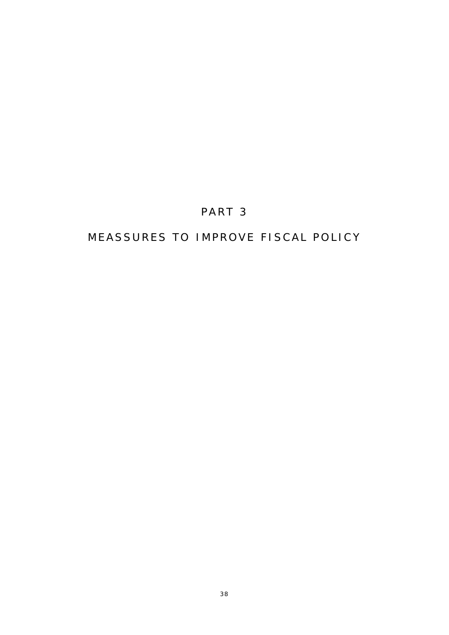# PART 3

# MEASSURES TO IMPROVE FISCAL POLICY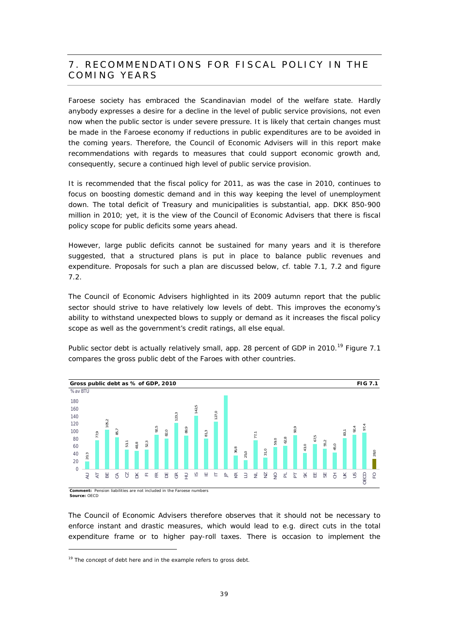### 7. RECOMMENDATIONS FOR FISCAL POLICY IN THE COMING YEARS

Faroese society has embraced the Scandinavian model of the welfare state. Hardly anybody expresses a desire for a decline in the level of public service provisions, not even now when the public sector is under severe pressure. It is likely that certain changes must be made in the Faroese economy if reductions in public expenditures are to be avoided in the coming years. Therefore, the Council of Economic Advisers will in this report make recommendations with regards to measures that could support economic growth and, consequently, secure a continued high level of public service provision.

It is recommended that the fiscal policy for 2011, as was the case in 2010, continues to focus on boosting domestic demand and in this way keeping the level of unemployment down. The total deficit of Treasury and municipalities is substantial, app. DKK 850-900 million in 2010; yet, it is the view of the Council of Economic Advisers that there is fiscal policy scope for public deficits some years ahead.

However, large public deficits cannot be sustained for many years and it is therefore suggested, that a structured plans is put in place to balance public revenues and expenditure. Proposals for such a plan are discussed below, cf. table 7.1, 7.2 and figure 7.2.

The Council of Economic Advisers highlighted in its 2009 autumn report that the public sector should strive to have relatively low levels of debt. This improves the economy's ability to withstand unexpected blows to supply or demand as it increases the fiscal policy scope as well as the government's credit ratings, all else equal.

Public sector debt is actually relatively small, app. 28 percent of GDP in 2010.<sup>19</sup> Figure 7.1 compares the gross public debt of the Faroes with other countries.



Comment: Pension liabilities are not included in the Faroese numbers<br>Source: OECD

The Council of Economic Advisers therefore observes that it should not be necessary to enforce instant and drastic measures, which would lead to e.g. direct cuts in the total expenditure frame or to higher pay-roll taxes. There is occasion to implement the

<sup>19</sup> The concept of debt here and in the example refers to *gross debt*.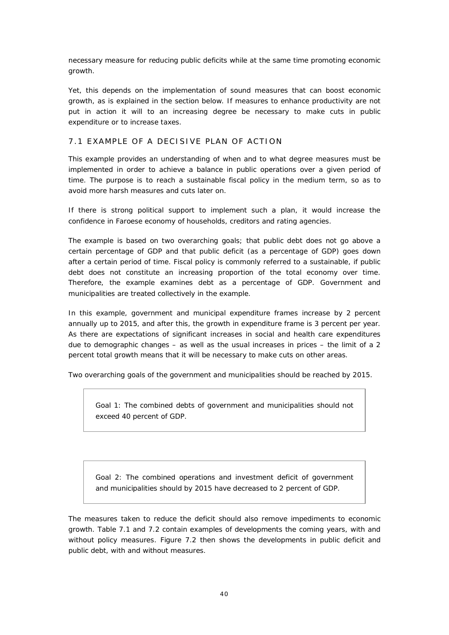necessary measure for reducing public deficits while at the same time promoting economic growth.

Yet, this depends on the implementation of sound measures that can boost economic growth, as is explained in the section below. If measures to enhance productivity are not put in action it will to an increasing degree be necessary to make cuts in public expenditure or to increase taxes.

#### 7.1 EXAMPLE OF A DECISIVE PLAN OF ACTION

This example provides an understanding of when and to what degree measures must be implemented in order to achieve a balance in public operations over a given period of time. The purpose is to reach a sustainable fiscal policy in the medium term, so as to avoid more harsh measures and cuts later on.

If there is strong political support to implement such a plan, it would increase the confidence in Faroese economy of households, creditors and rating agencies.

The example is based on two overarching goals; that public debt does not go above a certain percentage of GDP and that public deficit (as a percentage of GDP) goes down after a certain period of time. Fiscal policy is commonly referred to a sustainable, if public debt does not constitute an increasing proportion of the total economy over time. Therefore, the example examines debt as a percentage of GDP. Government and municipalities are treated collectively in the example.

In this example, government and municipal expenditure frames increase by 2 percent annually up to 2015, and after this, the growth in expenditure frame is 3 percent per year. As there are expectations of significant increases in social and health care expenditures due to demographic changes – as well as the usual increases in prices – the limit of a 2 percent total growth means that it will be necessary to make cuts on other areas.

Two overarching goals of the government and municipalities should be reached by 2015.

*Goal 1: The combined debts of government and municipalities should not exceed 40 percent of GDP.*

*Goal 2: The combined operations and investment deficit of government and municipalities should by 2015 have decreased to 2 percent of GDP.*

The measures taken to reduce the deficit should also remove impediments to economic growth. Table 7.1 and 7.2 contain examples of developments the coming years, with and without policy measures. Figure 7.2 then shows the developments in public deficit and public debt, with and without measures.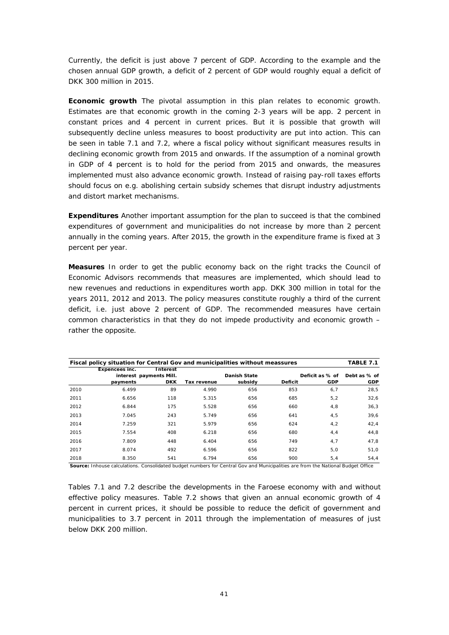Currently, the deficit is just above 7 percent of GDP. According to the example and the chosen annual GDP growth, a deficit of 2 percent of GDP would roughly equal a deficit of DKK 300 million in 2015.

**Economic growth** The pivotal assumption in this plan relates to economic growth. Estimates are that economic growth in the coming 2-3 years will be app. 2 percent in constant prices and 4 percent in current prices. But it is possible that growth will subsequently decline unless measures to boost productivity are put into action. This can be seen in table 7.1 and 7.2, where a fiscal policy without significant measures results in declining economic growth from 2015 and onwards. If the assumption of a nominal growth in GDP of 4 percent is to hold for the period from 2015 and onwards, the measures implemented must also advance economic growth. Instead of raising pay-roll taxes efforts should focus on e.g. abolishing certain subsidy schemes that disrupt industry adjustments and distort market mechanisms.

**Expenditures** Another important assumption for the plan to succeed is that the combined expenditures of government and municipalities do not increase by more than 2 percent annually in the coming years. After 2015, the growth in the expenditure frame is fixed at 3 percent per year.

**Measures** In order to get the public economy back on the right tracks the Council of Economic Advisors recommends that measures are implemented, which should lead to new revenues and reductions in expenditures worth app. DKK 300 million in total for the years 2011, 2012 and 2013. The policy measures constitute roughly a third of the current deficit, i.e. just above 2 percent of GDP. The recommended measures have certain common characteristics in that they do not impede productivity and economic growth – rather the opposite.

|      |                | Fiscal policy situation for Central Gov and municipalities without meassures<br>TABLE 7.1 |             |              |         |                 |              |
|------|----------------|-------------------------------------------------------------------------------------------|-------------|--------------|---------|-----------------|--------------|
|      | Expencees inc. | Interest                                                                                  |             |              |         |                 |              |
|      |                | interest payments Mill.                                                                   |             | Danish State |         | Deficit as % of | Debt as % of |
|      | payments       | <b>DKK</b>                                                                                | Tax revenue | subsidy      | Deficit | GDP             | GDP          |
| 2010 | 6.499          | 89                                                                                        | 4.990       | 656          | 853     | 6,7             | 28,5         |
| 2011 | 6.656          | 118                                                                                       | 5.315       | 656          | 685     | 5, 2            | 32,6         |
| 2012 | 6.844          | 175                                                                                       | 5.528       | 656          | 660     | 4,8             | 36,3         |
| 2013 | 7.045          | 243                                                                                       | 5.749       | 656          | 641     | 4,5             | 39,6         |
| 2014 | 7.259          | 321                                                                                       | 5.979       | 656          | 624     | 4, 2            | 42,4         |
| 2015 | 7.554          | 408                                                                                       | 6.218       | 656          | 680     | 4, 4            | 44,8         |
| 2016 | 7.809          | 448                                                                                       | 6.404       | 656          | 749     | 4,7             | 47,8         |
| 2017 | 8.074          | 492                                                                                       | 6.596       | 656          | 822     | 5,0             | 51,0         |
| 2018 | 8.350          | 541                                                                                       | 6.794       | 656          | 900     | 5,4             | 54.4         |

**Source:** Inhouse calculations. Consolidated budget numbers for Central Gov and Municipalities are from the National Budget Office

Tables 7.1 and 7.2 describe the developments in the Faroese economy with and without effective policy measures. Table 7.2 shows that given an annual economic growth of 4 percent in current prices, it should be possible to reduce the deficit of government and municipalities to 3.7 percent in 2011 through the implementation of measures of just below DKK 200 million.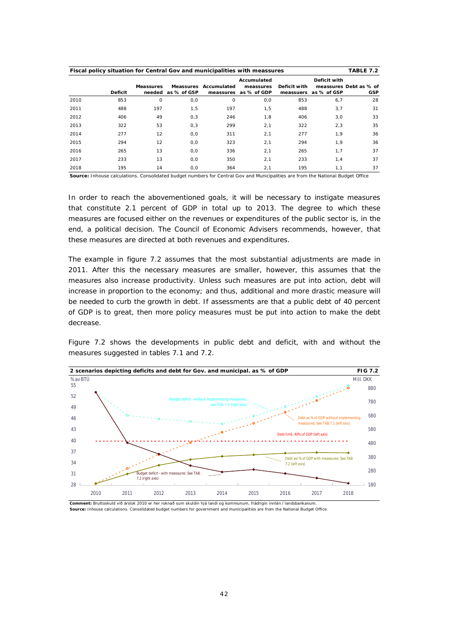|      | Fiscal policy situation for Central Gov and municipalities with meassures<br>TABLE 7.2 |           |             |             |             |              |              |                        |
|------|----------------------------------------------------------------------------------------|-----------|-------------|-------------|-------------|--------------|--------------|------------------------|
|      |                                                                                        |           |             |             | Accumulated |              | Deficit with |                        |
|      |                                                                                        | Meassures | Meassures   | Accumulated | meassures   | Deficit with |              | meassures Debt as % of |
|      | Deficit                                                                                | needed    | as % of GSP | meassures   | as % of GDP | meassuers    | as % of GSP  | <b>GSP</b>             |
| 2010 | 853                                                                                    | $\circ$   | 0,0         | $\circ$     | 0,0         | 853          | 6,7          | 28                     |
| 2011 | 488                                                                                    | 197       | 1,5         | 197         | 1,5         | 488          | 3,7          | 31                     |
| 2012 | 406                                                                                    | 49        | 0.3         | 246         | 1,8         | 406          | 3.0          | 33                     |
| 2013 | 322                                                                                    | 53        | 0,3         | 299         | 2,1         | 322          | 2,3          | 35                     |
| 2014 | 277                                                                                    | 12        | 0,0         | 311         | 2,1         | 277          | 1.9          | 36                     |
| 2015 | 294                                                                                    | 12        | 0,0         | 323         | 2,1         | 294          | 1.9          | 36                     |
| 2016 | 265                                                                                    | 13        | 0,0         | 336         | 2,1         | 265          | 1.7          | 37                     |
| 2017 | 233                                                                                    | 13        | 0,0         | 350         | 2,1         | 233          | 1,4          | 37                     |
| 2018 | 195                                                                                    | 14        | 0,0         | 364         | 2,1         | 195          | 1,1          | 37                     |

**Source:** Inhouse calculations. Consolidated budget numbers for Central Gov and Municipalities are from the National Budget Office

In order to reach the abovementioned goals, it will be necessary to instigate measures that constitute 2.1 percent of GDP in total up to 2013. The degree to which these measures are focused either on the revenues or expenditures of the public sector is, in the end, a political decision. The Council of Economic Advisers recommends, however, that these measures are directed at both revenues and expenditures.

The example in figure 7.2 assumes that the most substantial adjustments are made in 2011. After this the necessary measures are smaller, however, this assumes that the measures also increase productivity. Unless such measures are put into action, debt will increase in proportion to the economy; and thus, additional and more drastic measure will be needed to curb the growth in debt. If assessments are that a public debt of 40 percent of GDP is to great, then more policy measures must be put into action to make the debt decrease.

Figure 7.2 shows the developments in public debt and deficit, with and without the measures suggested in tables 7.1 and 7.2.



**Source:** Inhouse calculations. Consolidated budget numbers for government and municipalities are from the National Budget Office **Comment:** Bruttoskuld við árslok 2010 er her roknað sum skuldin hjá landi og kommunum, frádrigin innlán í landsbankanum.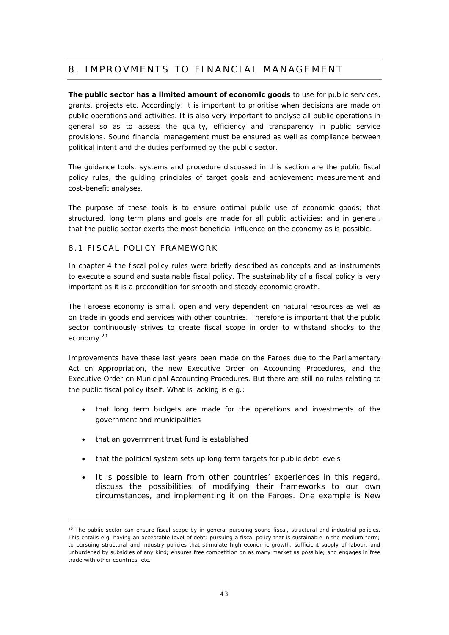### 8. IMPROVMENTS TO FINANCIAL MANAGEMENT

**The public sector has a limited amount of economic goods** to use for public services, grants, projects etc. Accordingly, it is important to prioritise when decisions are made on public operations and activities. It is also very important to analyse all public operations in general so as to assess the quality, efficiency and transparency in public service provisions. Sound financial management must be ensured as well as compliance between political intent and the duties performed by the public sector.

The guidance tools, systems and procedure discussed in this section are the public fiscal policy rules, the guiding principles of target goals and achievement measurement and cost-benefit analyses.

The purpose of these tools is to ensure optimal public use of economic goods; that structured, long term plans and goals are made for all public activities; and in general, that the public sector exerts the most beneficial influence on the economy as is possible.

#### 8.1 FISCAL POLICY FRAMEWORK

In chapter 4 the fiscal policy rules were briefly described as concepts and as instruments to execute a sound and sustainable fiscal policy. The sustainability of a fiscal policy is very important as it is a precondition for smooth and steady economic growth.

The Faroese economy is small, open and very dependent on natural resources as well as on trade in goods and services with other countries. Therefore is important that the public sector continuously strives to create fiscal scope in order to withstand shocks to the economy.<sup>20</sup>

Improvements have these last years been made on the Faroes due to the Parliamentary Act on Appropriation, the new Executive Order on Accounting Procedures, and the Executive Order on Municipal Accounting Procedures. But there are still no rules relating to the public fiscal policy itself. What is lacking is e.g.:

- that long term budgets are made for the operations and investments of the government and municipalities
- that an government trust fund is established
- that the political system sets up long term targets for public debt levels
- It is possible to learn from other countries' experiences in this regard, discuss the possibilities of modifying their frameworks to our own circumstances, and implementing it on the Faroes. One example is New

<sup>&</sup>lt;sup>20</sup> The public sector can ensure fiscal scope by in general pursuing sound fiscal, structural and industrial policies. This entails e.g. having an acceptable level of debt; pursuing a fiscal policy that is sustainable in the medium term; to pursuing structural and industry policies that stimulate high economic growth, sufficient supply of labour, and unburdened by subsidies of any kind; ensures free competition on as many market as possible; and engages in free trade with other countries, etc.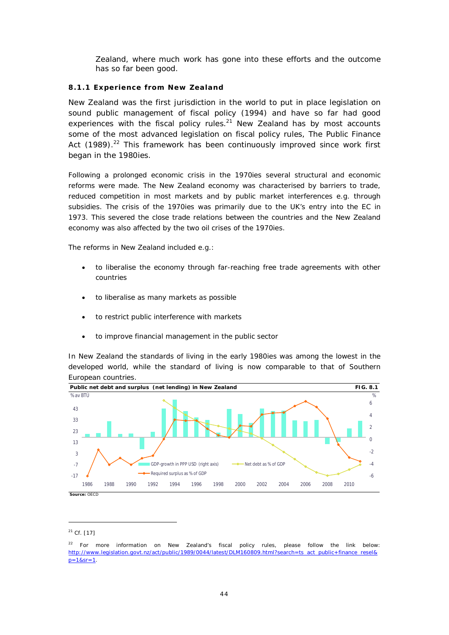Zealand, where much work has gone into these efforts and the outcome has so far been good.

#### **8.1.1 Experience from New Zealand**

New Zealand was the first jurisdiction in the world to put in place legislation on sound public management of fiscal policy (1994) and have so far had good experiences with the fiscal policy rules. $21$  New Zealand has by most accounts some of the most advanced legislation on fiscal policy rules, The Public Finance Act  $(1989).^{22}$  This framework has been continuously improved since work first began in the 1980ies.

Following a prolonged economic crisis in the 1970ies several structural and economic reforms were made. The New Zealand economy was characterised by barriers to trade, reduced competition in most markets and by public market interferences e.g. through subsidies. The crisis of the 1970ies was primarily due to the UK's entry into the EC in 1973. This severed the close trade relations between the countries and the New Zealand economy was also affected by the two oil crises of the 1970ies.

The reforms in New Zealand included e.g.:

- to liberalise the economy through far-reaching free trade agreements with other countries
- to liberalise as many markets as possible
- to restrict public interference with markets
- to improve financial management in the public sector

In New Zealand the standards of living in the early 1980ies was among the lowest in the developed world, while the standard of living is now comparable to that of Southern European countries.



<sup>21</sup> Cf. [17]

 $22$  For more information on New Zealand's fiscal policy rules, please follow the link below: [http://www.legislation.govt.nz/act/public/1989/0044/latest/DLM160809.html?search=ts\\_act\\_public+finance\\_resel&](http://www.legislation.govt.nz/act/public/1989/0044/latest/DLM160809.html?search=ts_act_public+finance_resel&)  $p=1&sr=1.$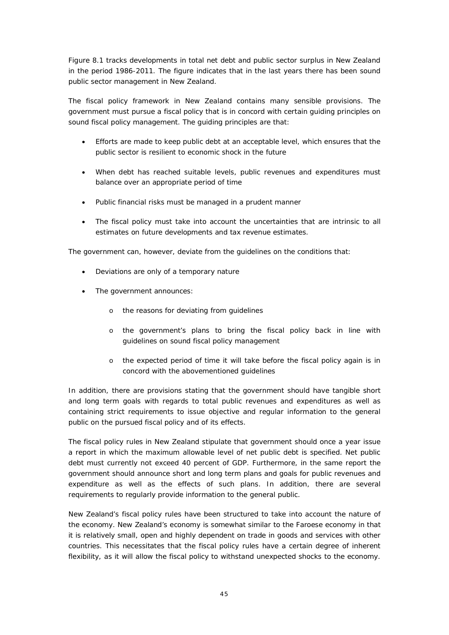Figure 8.1 tracks developments in total net debt and public sector surplus in New Zealand in the period 1986-2011. The figure indicates that in the last years there has been sound public sector management in New Zealand.

The fiscal policy framework in New Zealand contains many sensible provisions. The government must pursue a fiscal policy that is in concord with certain guiding principles on sound fiscal policy management. The guiding principles are that:

- x Efforts are made to keep public debt at an acceptable level, which ensures that the public sector is resilient to economic shock in the future
- When debt has reached suitable levels, public revenues and expenditures must balance over an appropriate period of time
- Public financial risks must be managed in a prudent manner
- The fiscal policy must take into account the uncertainties that are intrinsic to all estimates on future developments and tax revenue estimates.

The government can, however, deviate from the guidelines on the conditions that:

- Deviations are only of a temporary nature
- The government announces:
	- o the reasons for deviating from guidelines
	- o the government's plans to bring the fiscal policy back in line with guidelines on sound fiscal policy management
	- o the expected period of time it will take before the fiscal policy again is in concord with the abovementioned guidelines

In addition, there are provisions stating that the government should have tangible short and long term goals with regards to total public revenues and expenditures as well as containing strict requirements to issue objective and regular information to the general public on the pursued fiscal policy and of its effects.

The fiscal policy rules in New Zealand stipulate that government should once a year issue a report in which the maximum allowable level of net public debt is specified. Net public debt must currently not exceed 40 percent of GDP. Furthermore, in the same report the government should announce short and long term plans and goals for public revenues and expenditure as well as the effects of such plans. In addition, there are several requirements to regularly provide information to the general public.

New Zealand's fiscal policy rules have been structured to take into account the nature of the economy. New Zealand's economy is somewhat similar to the Faroese economy in that it is relatively small, open and highly dependent on trade in goods and services with other countries. This necessitates that the fiscal policy rules have a certain degree of inherent flexibility, as it will allow the fiscal policy to withstand unexpected shocks to the economy.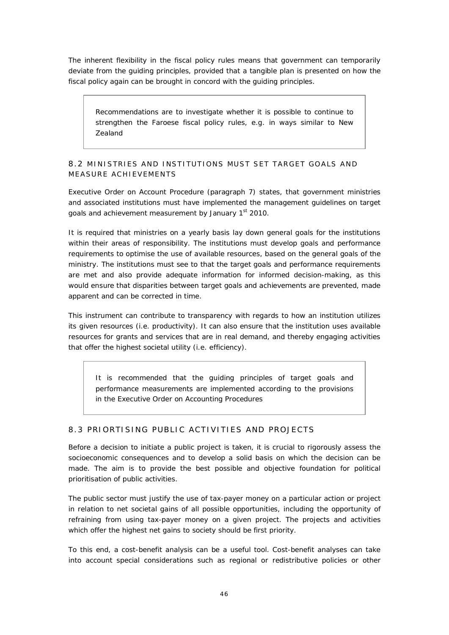The inherent flexibility in the fiscal policy rules means that government can temporarily deviate from the guiding principles, provided that a tangible plan is presented on how the fiscal policy again can be brought in concord with the guiding principles.

*Recommendations are to investigate whether it is possible to continue to strengthen the Faroese fiscal policy rules, e.g. in ways similar to New Zealand*

#### 8.2 MINISTRIES AND INSTITUTIONS MUST SET TARGET GOALS AND MEASURE ACHIEVEMENTS

Executive Order on Account Procedure (paragraph 7) states, that government ministries and associated institutions must have implemented the management guidelines on target goals and achievement measurement by January 1<sup>st</sup> 2010.

It is required that ministries on a yearly basis lay down general goals for the institutions within their areas of responsibility. The institutions must develop goals and performance requirements to optimise the use of available resources, based on the general goals of the ministry. The institutions must see to that the target goals and performance requirements are met and also provide adequate information for informed decision-making, as this would ensure that disparities between target goals and achievements are prevented, made apparent and can be corrected in time.

This instrument can contribute to transparency with regards to how an institution utilizes its given resources (i.e. productivity). It can also ensure that the institution uses available resources for grants and services that are in real demand, and thereby engaging activities that offer the highest societal utility (i.e. efficiency).

*It is recommended that the guiding principles of target goals and performance measurements are implemented according to the provisions in the Executive Order on Accounting Procedures*

#### 8.3 PRIORTISING PUBLIC ACTIVITIES AND PROJECTS

Before a decision to initiate a public project is taken, it is crucial to rigorously assess the socioeconomic consequences and to develop a solid basis on which the decision can be made. The aim is to provide the best possible and objective foundation for political prioritisation of public activities.

The public sector must justify the use of tax-payer money on a particular action or project in relation to net societal gains of all possible opportunities, including the opportunity of refraining from using tax-payer money on a given project. The projects and activities which offer the highest net gains to society should be first priority.

To this end, a cost-benefit analysis can be a useful tool. Cost-benefit analyses can take into account special considerations such as regional or redistributive policies or other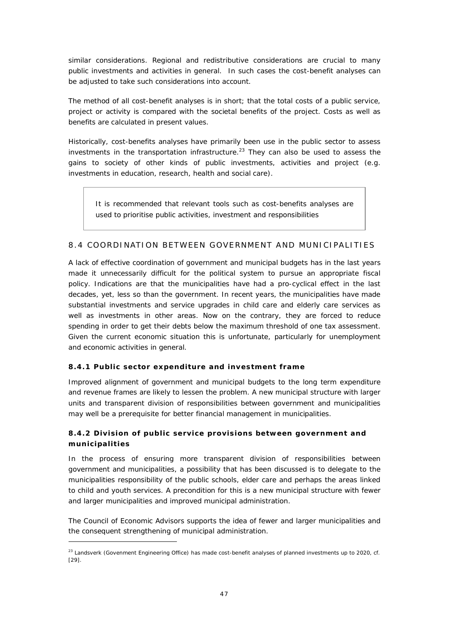similar considerations. Regional and redistributive considerations are crucial to many public investments and activities in general. In such cases the cost-benefit analyses can be adjusted to take such considerations into account.

The method of all cost-benefit analyses is in short; that the total costs of a public service, project or activity is compared with the societal benefits of the project. Costs as well as benefits are calculated in present values.

Historically, cost-benefits analyses have primarily been use in the public sector to assess investments in the transportation infrastructure.<sup>23</sup> They can also be used to assess the gains to society of other kinds of public investments, activities and project (e.g. investments in education, research, health and social care).

*It is recommended that relevant tools such as cost-benefits analyses are used to prioritise public activities, investment and responsibilities*

#### 8.4 COORDINATION BETWEEN GOVERNMENT AND MUNICIPALITIES

A lack of effective coordination of government and municipal budgets has in the last years made it unnecessarily difficult for the political system to pursue an appropriate fiscal policy. Indications are that the municipalities have had a pro-cyclical effect in the last decades, yet, less so than the government. In recent years, the municipalities have made substantial investments and service upgrades in child care and elderly care services as well as investments in other areas. Now on the contrary, they are forced to reduce spending in order to get their debts below the maximum threshold of one tax assessment. Given the current economic situation this is unfortunate, particularly for unemployment and economic activities in general.

#### **8.4.1 Public sector expenditure and investment frame**

Improved alignment of government and municipal budgets to the long term expenditure and revenue frames are likely to lessen the problem. A new municipal structure with larger units and transparent division of responsibilities between government and municipalities may well be a prerequisite for better financial management in municipalities.

#### **8.4.2 Division of public service provisions between government and municipalities**

In the process of ensuring more transparent division of responsibilities between government and municipalities, a possibility that has been discussed is to delegate to the municipalities responsibility of the public schools, elder care and perhaps the areas linked to child and youth services. A precondition for this is a new municipal structure with fewer and larger municipalities and improved municipal administration.

The Council of Economic Advisors supports the idea of fewer and larger municipalities and the consequent strengthening of municipal administration.

 $^{23}$  Landsverk (Govenment Engineering Office) has made cost-benefit analyses of planned investments up to 2020, cf. [29].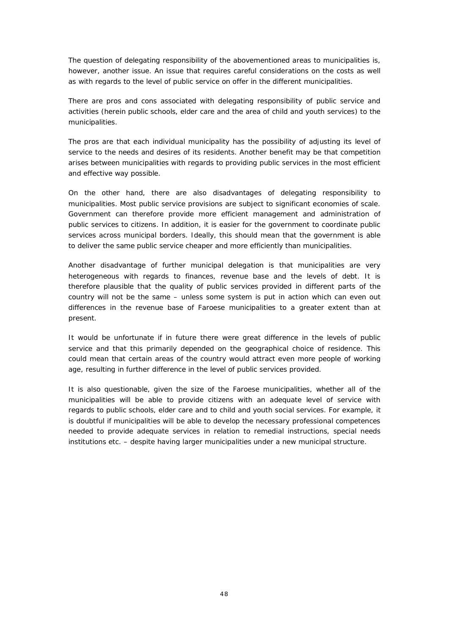The question of delegating responsibility of the abovementioned areas to municipalities is, however, another issue. An issue that requires careful considerations on the costs as well as with regards to the level of public service on offer in the different municipalities.

There are pros and cons associated with delegating responsibility of public service and activities (herein public schools, elder care and the area of child and youth services) to the municipalities.

The pros are that each individual municipality has the possibility of adjusting its level of service to the needs and desires of its residents. Another benefit may be that competition arises between municipalities with regards to providing public services in the most efficient and effective way possible.

On the other hand, there are also disadvantages of delegating responsibility to municipalities. Most public service provisions are subject to significant economies of scale. Government can therefore provide more efficient management and administration of public services to citizens. In addition, it is easier for the government to coordinate public services across municipal borders. Ideally, this should mean that the government is able to deliver the same public service cheaper and more efficiently than municipalities.

Another disadvantage of further municipal delegation is that municipalities are very heterogeneous with regards to finances, revenue base and the levels of debt. It is therefore plausible that the quality of public services provided in different parts of the country will not be the same – unless some system is put in action which can even out differences in the revenue base of Faroese municipalities to a greater extent than at present.

It would be unfortunate if in future there were great difference in the levels of public service and that this primarily depended on the geographical choice of residence. This could mean that certain areas of the country would attract even more people of working age, resulting in further difference in the level of public services provided.

It is also questionable, given the size of the Faroese municipalities, whether all of the municipalities will be able to provide citizens with an adequate level of service with regards to public schools, elder care and to child and youth social services. For example, it is doubtful if municipalities will be able to develop the necessary professional competences needed to provide adequate services in relation to remedial instructions, special needs institutions etc. – despite having larger municipalities under a new municipal structure.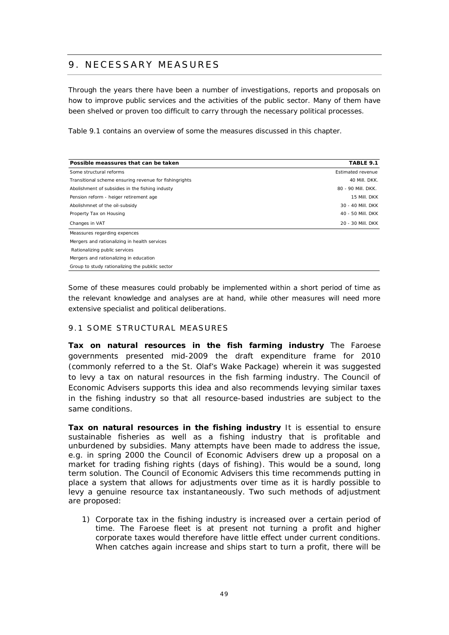# 9. NECESSARY MEASURES

Through the years there have been a number of investigations, reports and proposals on how to improve public services and the activities of the public sector. Many of them have been shelved or proven too difficult to carry through the necessary political processes.

Table 9.1 contains an overview of some the measures discussed in this chapter.

| Possible meassures that can be taken                   | TABLE 9.1                |
|--------------------------------------------------------|--------------------------|
| Some structural reforms                                | <b>Fstimated revenue</b> |
| Transitional scheme ensuring revenue for fishingrights | 40 Mill. DKK.            |
| Abolishment of subsidies in the fishing industy        | 80 - 90 Mill. DKK.       |
| Pension reform - heiger retirement age                 | 15 Mill. DKK             |
| Abolishmnet of the oil-subsidy                         | 30 - 40 Mill. DKK        |
| Property Tax on Housing                                | 40 - 50 Mill. DKK        |
| Changes in VAT                                         | 20 - 30 Mill. DKK        |
| Meassures regarding expences                           |                          |
| Mergers and rationalizing in health services           |                          |
| Rationalizing public services                          |                          |
| Mergers and rationalizing in education                 |                          |
| Group to study rationalizing the pubklic sector        |                          |

Some of these measures could probably be implemented within a short period of time as the relevant knowledge and analyses are at hand, while other measures will need more extensive specialist and political deliberations.

#### 9.1 SOME STRUCTURAL MEASURES

**Tax on natural resources in the fish farming industry** The Faroese governments presented mid-2009 the draft expenditure frame for 2010 (commonly referred to a the St. Olaf's Wake Package) wherein it was suggested to levy a tax on natural resources in the fish farming industry. The Council of Economic Advisers supports this idea and also recommends levying similar taxes in the fishing industry so that all resource-based industries are subject to the same conditions.

**Tax on natural resources in the fishing industry** It is essential to ensure sustainable fisheries as well as a fishing industry that is profitable and unburdened by subsidies. Many attempts have been made to address the issue, e.g. in spring 2000 the Council of Economic Advisers drew up a proposal on a market for trading fishing rights (*days of fishing*). This would be a sound, long term solution. The Council of Economic Advisers this time recommends putting in place a system that allows for adjustments over time as it is hardly possible to levy a genuine resource tax instantaneously. Two such methods of adjustment are proposed:

1) Corporate tax in the fishing industry is increased over a certain period of time. The Faroese fleet is at present not turning a profit and higher corporate taxes would therefore have little effect under current conditions. When catches again increase and ships start to turn a profit, there will be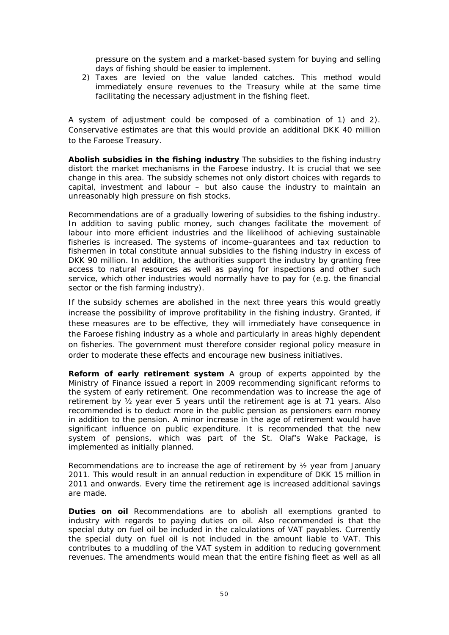pressure on the system and a market-based system for buying and selling days of fishing should be easier to implement.

2) Taxes are levied on the value landed catches. This method would immediately ensure revenues to the Treasury while at the same time facilitating the necessary adjustment in the fishing fleet.

A system of adjustment could be composed of a combination of 1) and 2). Conservative estimates are that this would provide an additional DKK 40 million to the Faroese Treasury.

**Abolish subsidies in the fishing industry** The subsidies to the fishing industry distort the market mechanisms in the Faroese industry. It is crucial that we see change in this area. The subsidy schemes not only distort choices with regards to capital, investment and labour – but also cause the industry to maintain an unreasonably high pressure on fish stocks.

Recommendations are of a gradually lowering of subsidies to the fishing industry. In addition to saving public money, such changes facilitate the movement of labour into more efficient industries and the likelihood of achieving sustainable fisheries is increased. The systems of income–guarantees and tax reduction to fishermen in total constitute annual subsidies to the fishing industry in excess of DKK 90 million. In addition, the authorities support the industry by granting free access to natural resources as well as paying for inspections and other such service, which other industries would normally have to pay for (e.g. the financial sector or the fish farming industry).

If the subsidy schemes are abolished in the next three years this would greatly increase the possibility of improve profitability in the fishing industry. Granted, if these measures are to be effective, they will immediately have consequence in the Faroese fishing industry as a whole and particularly in areas highly dependent on fisheries. The government must therefore consider regional policy measure in order to moderate these effects and encourage new business initiatives.

**Reform of early retirement system** A group of experts appointed by the Ministry of Finance issued a report in 2009 recommending significant reforms to the system of early retirement. One recommendation was to increase the age of retirement by ½ year ever 5 years until the retirement age is at 71 years. Also recommended is to deduct more in the public pension as pensioners earn money in addition to the pension. A minor increase in the age of retirement would have significant influence on public expenditure. It is recommended that the new system of pensions, which was part of the St. Olaf's Wake Package, is implemented as initially planned.

Recommendations are to increase the age of retirement by  $\frac{1}{2}$  year from January 2011. This would result in an annual reduction in expenditure of DKK 15 million in 2011 and onwards. Every time the retirement age is increased additional savings are made.

**Duties on oil** Recommendations are to abolish all exemptions granted to industry with regards to paying duties on oil. Also recommended is that the special duty on fuel oil be included in the calculations of VAT payables. Currently the special duty on fuel oil is not included in the amount liable to VAT. This contributes to a muddling of the VAT system in addition to reducing government revenues. The amendments would mean that the entire fishing fleet as well as all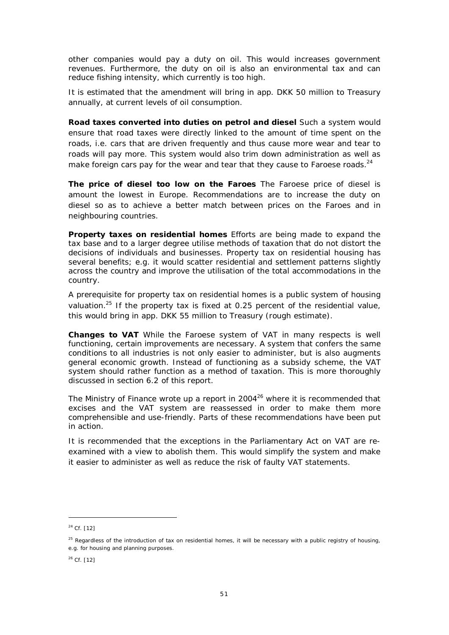other companies would pay a duty on oil. This would increases government revenues. Furthermore, the duty on oil is also an environmental tax and can reduce fishing intensity, which currently is too high.

It is estimated that the amendment will bring in app. DKK 50 million to Treasury annually, at current levels of oil consumption.

**Road taxes converted into duties on petrol and diesel** Such a system would ensure that road taxes were directly linked to the amount of time spent on the roads, i.e. cars that are driven frequently and thus cause more wear and tear to roads will pay more. This system would also trim down administration as well as make foreign cars pay for the wear and tear that they cause to Faroese roads.<sup>24</sup>

**The price of diesel too low on the Faroes** The Faroese price of diesel is amount the lowest in Europe. Recommendations are to increase the duty on diesel so as to achieve a better match between prices on the Faroes and in neighbouring countries.

**Property taxes on residential homes** Efforts are being made to expand the tax base and to a larger degree utilise methods of taxation that do not distort the decisions of individuals and businesses. Property tax on residential housing has several benefits; e.g. it would scatter residential and settlement patterns slightly across the country and improve the utilisation of the total accommodations in the country.

A prerequisite for property tax on residential homes is a public system of housing valuation.<sup>25</sup> If the property tax is fixed at 0.25 percent of the residential value, this would bring in app. DKK 55 million to Treasury (rough estimate).

**Changes to VAT** While the Faroese system of VAT in many respects is well functioning, certain improvements are necessary. A system that confers the same conditions to all industries is not only easier to administer, but is also augments general economic growth. Instead of functioning as a subsidy scheme, the VAT system should rather function as a method of taxation. This is more thoroughly discussed in section 6.2 of this report.

The Ministry of Finance wrote up a report in  $2004^{26}$  where it is recommended that excises and the VAT system are reassessed in order to make them more comprehensible and use-friendly. Parts of these recommendations have been put in action.

It is recommended that the exceptions in the Parliamentary Act on VAT are reexamined with a view to abolish them. This would simplify the system and make it easier to administer as well as reduce the risk of faulty VAT statements.

<sup>24</sup> Cf. [12]

 $25$  Regardless of the introduction of tax on residential homes, it will be necessary with a public registry of housing, e.g. for housing and planning purposes.

 $26$  Cf. [12]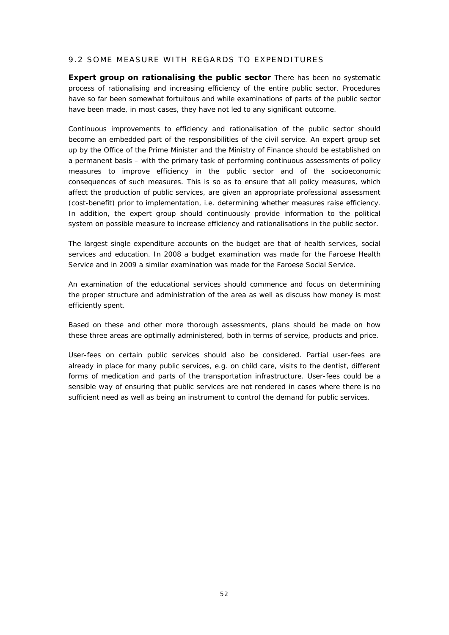#### 9.2 SOME MEASURE WITH REGARDS TO EXPENDITURES

**Expert group on rationalising the public sector** There has been no systematic process of rationalising and increasing efficiency of the entire public sector. Procedures have so far been somewhat fortuitous and while examinations of parts of the public sector have been made, in most cases, they have not led to any significant outcome.

Continuous improvements to efficiency and rationalisation of the public sector should become an embedded part of the responsibilities of the civil service. An expert group set up by the Office of the Prime Minister and the Ministry of Finance should be established on a permanent basis – with the primary task of performing continuous assessments of policy measures to improve efficiency in the public sector and of the socioeconomic consequences of such measures. This is so as to ensure that all policy measures, which affect the production of public services, are given an appropriate professional assessment (cost-benefit) prior to implementation, i.e. determining whether measures raise efficiency. In addition, the expert group should continuously provide information to the political system on possible measure to increase efficiency and rationalisations in the public sector.

The largest single expenditure accounts on the budget are that of health services, social services and education. In 2008 a budget examination was made for the Faroese Health Service and in 2009 a similar examination was made for the Faroese Social Service.

An examination of the educational services should commence and focus on determining the proper structure and administration of the area as well as discuss how money is most efficiently spent.

Based on these and other more thorough assessments, plans should be made on how these three areas are optimally administered, both in terms of service, products and price.

User-fees on certain public services should also be considered. Partial user-fees are already in place for many public services, e.g. on child care, visits to the dentist, different forms of medication and parts of the transportation infrastructure. User-fees could be a sensible way of ensuring that public services are not rendered in cases where there is no sufficient need as well as being an instrument to control the demand for public services.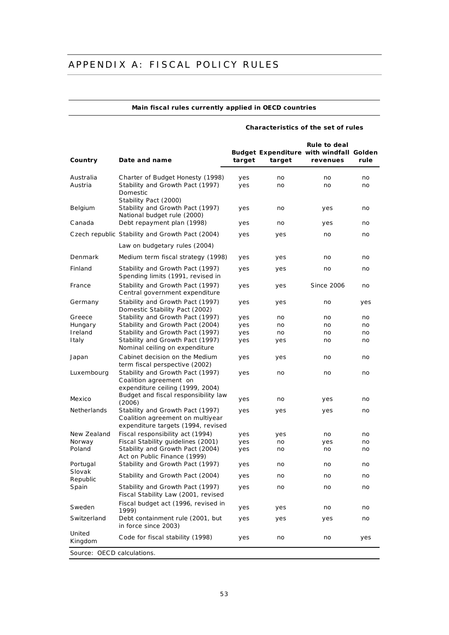### APPENDIX A: FISCAL POLICY RULES

#### **Main fiscal rules currently applied in OECD countries**

#### **Country Date and name Budget Expenditure with windfall Golden target target Rule to deal revenues rule** Australia Charter of Budget Honesty (1998) yes no no no no Austria Stability and Growth Pact (1997) yes no no no no Domestic Stability Pact (2000) Belgium Stability and Growth Pact (1997) yes no yes no National budget rule (2000) Canada Debt repayment plan (1998) yes no yes no Czech republic Stability and Growth Pact (2004) yes yes no no no Law on budgetary rules (2004) Denmark Medium term fiscal strategy (1998) yes yes no no no Finland Stability and Growth Pact (1997) yes yes no no Spending limits (1991, revised in France 1995 and 1997 and Stability and Growth Pact (1997) yes yes Since 2006 no C entral government expenditure Germany Stability and Growth Pact (1997) yes yes no yes Domestic Stability Pact (2002) Greece Stability and Growth Pact (1997) yes no no no no Hungary Stability and Growth Pact (2004) yes no no no Ireland Stability and Growth Pact (1997) yes no no no Italy Stability and Growth Pact (1997) yes yes no no Nominal ceiling on expenditure Japan Cabinet decision on the Medium term fiscal perspective (2002) yes yes no no Luxembourg Stability and Growth Pact (1997) ves no no no no Coalition agreement on expenditure ceiling (1999, 2004) Mexico Budget and fiscal responsibility law<br>(2006) baaget and notal responsibility law by yes control on the yes control of the yes control of the yes control of<br>(2006) Netherlands Stability and Growth Pact (1997) ves yes yes no Coalition agreement on multiyear expenditure targets (1994, revised New Zealand Fiscal responsibility act (1994) yes yes no no no Norway Fiscal Stability guidelines (2001) yes no yes no Poland Stability and Growth Pact (2004) yes no no no no Act on Public Finance (1999) Portugal Stability and Growth Pact (1997) yes no no no no Slovak Slovak Stability and Growth Pact (2004) yes no no no no no Spain Stability and Growth Pact (1997) yes no no no no Fiscal Stability Law (2001, revised Sweden Fiscal budget act (1996, revised in 1999) yes yes no no Switzerland Debt containment rule (2001, but in force since 2003) yes yes yes no United United Code for fiscal stability (1998) yes no no yes<br>Kingdom *Source:* OECD calculations.

**Characteristics of the set of rules**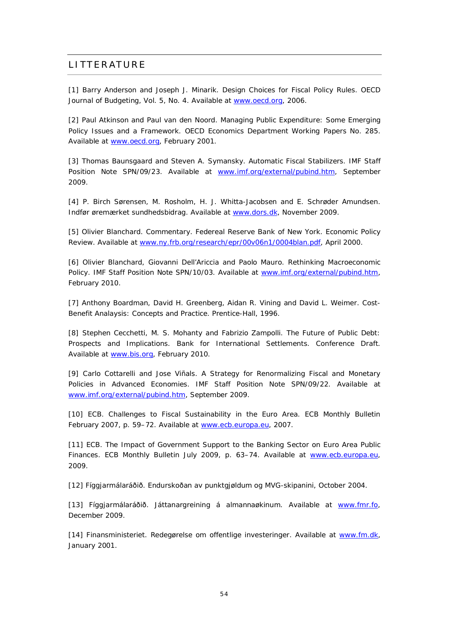#### **LITTERATURE**

[1] Barry Anderson and Joseph J. Minarik. Design Choices for Fiscal Policy Rules. OECD Journal of Budgeting, Vol. 5, No. 4. Available at [www.oecd.org,](http://www.oecd.org) 2006.

[2] Paul Atkinson and Paul van den Noord. Managing Public Expenditure: Some Emerging Policy Issues and a Framework. OECD Economics Department Working Papers No. 285. Available at [www.oecd.org,](http://www.oecd.org) February 2001.

[3] Thomas Baunsgaard and Steven A. Symansky. Automatic Fiscal Stabilizers. IMF Staff Position Note SPN/09/23. Available at [www.imf.org/external/pubind.htm](http://www.imf.org/external/pubind.htm), September 2009.

[4] P. Birch Sørensen, M. Rosholm, H. J. Whitta-Jacobsen and E. Schrøder Amundsen. Indfør øremærket sundhedsbidrag. Available at [www.dors.dk,](http://www.dors.dk) November 2009.

[5] Olivier Blanchard. Commentary. Federeal Reserve Bank of New York. Economic Policy Review. Available at [www.ny.frb.org/research/epr/00v06n1/0004blan.pdf](http://www.ny.frb.org/research/epr/00v06n1/0004blan.pdf), April 2000.

[6] Olivier Blanchard, Giovanni Dell'Ariccia and Paolo Mauro. Rethinking Macroeconomic Policy. IMF Staff Position Note SPN/10/03. Available at [www.imf.org/external/pubind.htm,](http://www.imf.org/external/pubind.htm) February 2010.

[7] Anthony Boardman, David H. Greenberg, Aidan R. Vining and David L. Weimer. Cost-Benefit Analaysis: Concepts and Practice. Prentice-Hall, 1996.

[8] Stephen Cecchetti, M. S. Mohanty and Fabrizio Zampolli. The Future of Public Debt: Prospects and Implications. Bank for International Settlements. Conference Draft. Available at [www.bis.org](http://www.bis.org), February 2010.

[9] Carlo Cottarelli and Jose Viñals. A Strategy for Renormalizing Fiscal and Monetary Policies in Advanced Economies. IMF Staff Position Note SPN/09/22. Available at [www.imf.org/external/pubind.htm](http://www.imf.org/external/pubind.htm), September 2009.

[10] ECB. Challenges to Fiscal Sustainability in the Euro Area. ECB Monthly Bulletin February 2007, p. 59-72. Available at [www.ecb.europa.eu,](http://www.ecb.europa.eu) 2007.

[11] ECB. The Impact of Government Support to the Banking Sector on Euro Area Public Finances. ECB Monthly Bulletin July 2009, p. 63–74. Available at [www.ecb.europa.eu,](http://www.ecb.europa.eu) 2009.

[12] Fíggjarmálaráðið. Endurskoðan av punktgjøldum og MVG-skipanini, October 2004.

[13] Fíggjarmálaráðið. Játtanargreining á almannaøkinum. Available at [www.fmr.fo](http://www.fmr.fo), December 2009.

[14] Finansministeriet. Redegørelse om offentlige investeringer. Available at [www.fm.dk,](http://www.fm.dk) January 2001.